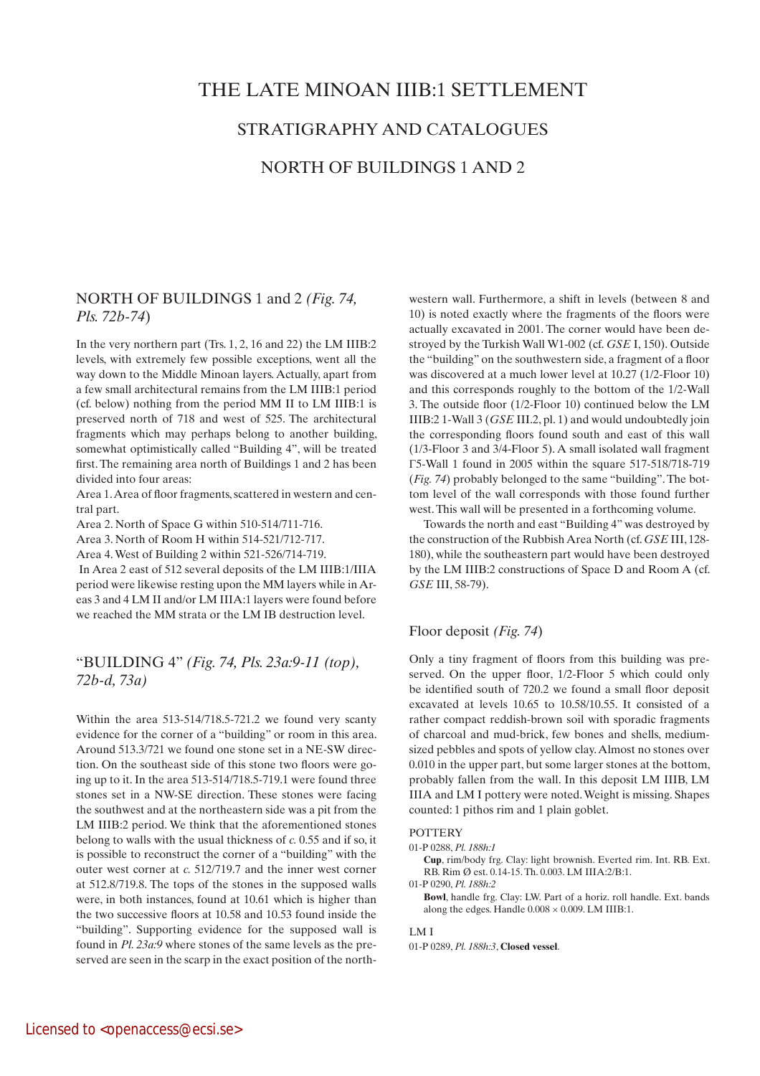# THE LATE MINOAN IIIB:1 SETTLEMEnT

# STRATIGRAPHY AND CATALOGUES

NORTH OF BUILDINGS 1 AND 2

# NORTH OF BUILDINGS 1 and 2 *(Fig. 74, Pls. 72b-74*)

In the very northern part (Trs. 1, 2, 16 and 22) the LM IIIB:2 levels, with extremely few possible exceptions, went all the way down to the Middle Minoan layers. Actually, apart from a few small architectural remains from the LM IIIB:1 period (cf. below) nothing from the period MM II to LM IIIB:1 is preserved north of 718 and west of 525. The architectural fragments which may perhaps belong to another building, somewhat optimistically called "Building 4", will be treated first. The remaining area north of Buildings 1 and 2 has been divided into four areas:

Area 1. Area of floor fragments, scattered in western and central part.

Area 2. North of Space G within 510-514/711-716.

Area 3. North of Room H within 514-521/712-717.

Area 4. West of Building 2 within 521-526/714-719.

 In Area 2 east of 512 several deposits of the LM IIIB:1/IIIA period were likewise resting upon the MM layers while in Areas 3 and 4 LM II and/or LM IIIA:1 layers were found before we reached the MM strata or the LM IB destruction level.

"BUILDING 4" *(Fig. 74, Pls. 23a:9-11 (top), 72b-d, 73a)*

Within the area 513-514/718.5-721.2 we found very scanty evidence for the corner of a "building" or room in this area. Around 513.3/721 we found one stone set in a NE-SW direction. On the southeast side of this stone two floors were going up to it. In the area 513-514/718.5-719.1 were found three stones set in a NW-SE direction. These stones were facing the southwest and at the northeastern side was a pit from the LM IIIB:2 period. We think that the aforementioned stones belong to walls with the usual thickness of *c.* 0.55 and if so, it is possible to reconstruct the corner of a "building" with the outer west corner at *c.* 512/719.7 and the inner west corner at 512.8/719.8. The tops of the stones in the supposed walls were, in both instances, found at 10.61 which is higher than the two successive floors at 10.58 and 10.53 found inside the "building". Supporting evidence for the supposed wall is found in *Pl. 23a:9* where stones of the same levels as the preserved are seen in the scarp in the exact position of the north-

western wall. Furthermore, a shift in levels (between 8 and 10) is noted exactly where the fragments of the floors were actually excavated in 2001. The corner would have been destroyed by the Turkish Wall W1-002 (cf. *GSE* I, 150). Outside the "building" on the southwestern side, a fragment of a floor was discovered at a much lower level at 10.27 (1/2-Floor 10) and this corresponds roughly to the bottom of the 1/2-Wall 3. The outside floor (1/2-Floor 10) continued below the LM IIIB:2 1-Wall 3 (*GSE* III.2, pl. 1) and would undoubtedly join the corresponding floors found south and east of this wall (1/3-Floor 3 and 3/4-Floor 5). A small isolated wall fragment G5-Wall 1 found in 2005 within the square 517-518/718-719 (*Fig. 74*) probably belonged to the same "building". The bottom level of the wall corresponds with those found further west. This wall will be presented in a forthcoming volume.

Towards the north and east "Building 4" was destroyed by the construction of the Rubbish Area North (cf. *GSE* III, 128- 180), while the southeastern part would have been destroyed by the LM IIIB:2 constructions of Space D and Room A (cf. *GSE* III, 58-79).

# Floor deposit *(Fig. 74*)

Only a tiny fragment of floors from this building was preserved. On the upper floor, 1/2-Floor 5 which could only be identified south of 720.2 we found a small floor deposit excavated at levels 10.65 to 10.58/10.55. It consisted of a rather compact reddish-brown soil with sporadic fragments of charcoal and mud-brick, few bones and shells, mediumsized pebbles and spots of yellow clay. Almost no stones over 0.010 in the upper part, but some larger stones at the bottom, probably fallen from the wall. In this deposit LM IIIB, LM IIIA and LM I pottery were noted. Weight is missing. Shapes counted: 1 pithos rim and 1 plain goblet.

### **POTTERY**

01-P 0288, *Pl. 188h:1*

 **Cup**, rim/body frg. Clay: light brownish. Everted rim. Int. RB. Ext. RB. Rim Ø est. 0.14-15. Th. 0.003. LM IIIA:2/B:1.

01-P 0290, *Pl. 188h:2*

 **Bowl**, handle frg. Clay: LW. Part of a horiz. roll handle. Ext. bands along the edges. Handle  $0.008 \times 0.009$ . LM IIIB:1.

## LM I

01-P 0289, *Pl. 188h:3*, **Closed vessel**.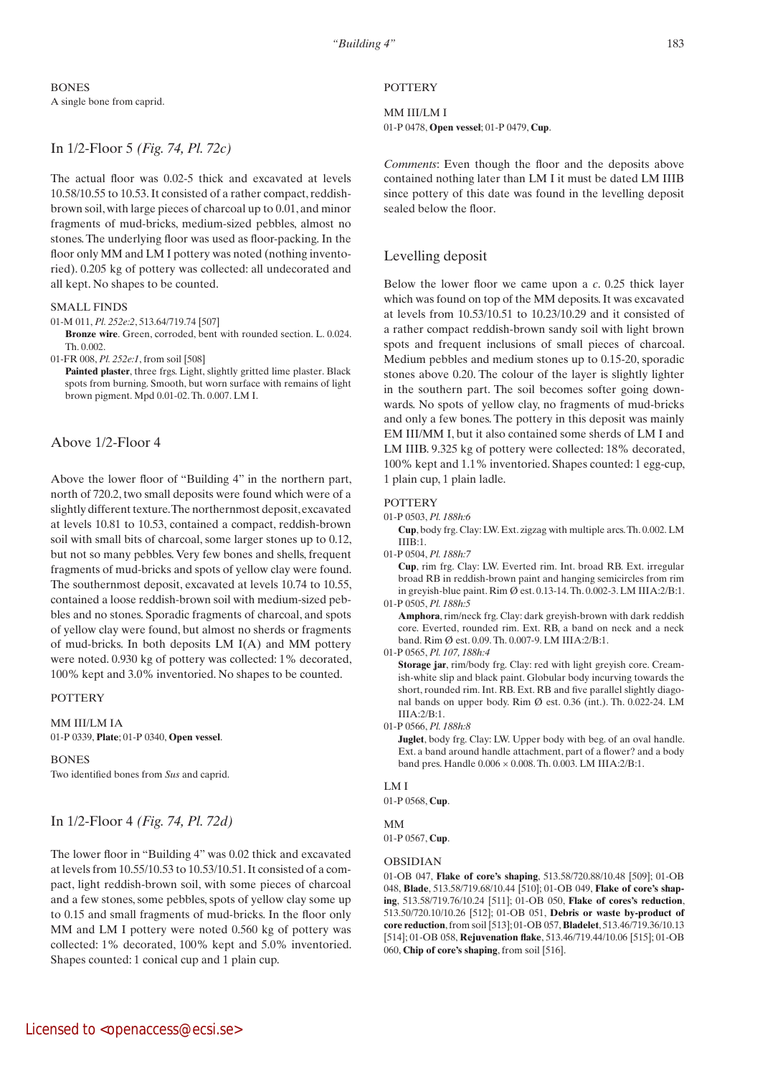**BONES** A single bone from caprid.

# In 1/2-Floor 5 *(Fig. 74, Pl. 72c)*

The actual floor was 0.02-5 thick and excavated at levels 10.58/10.55 to 10.53. It consisted of a rather compact, reddishbrown soil, with large pieces of charcoal up to 0.01, and minor fragments of mud-bricks, medium-sized pebbles, almost no stones. The underlying floor was used as floor-packing. In the floor only MM and LM I pottery was noted (nothing inventoried). 0.205 kg of pottery was collected: all undecorated and all kept. No shapes to be counted.

# SMALL FINDS

01-M 011, *Pl. 252e:2*, 513.64/719.74 [507]

 **Bronze wire**. Green, corroded, bent with rounded section. L. 0.024. Th. 0.002.

01-FR 008, *Pl. 252e:1*, from soil [508]

 **Painted plaster**, three frgs. Light, slightly gritted lime plaster. Black spots from burning. Smooth, but worn surface with remains of light brown pigment. Mpd 0.01-02. Th. 0.007. LM I.

# Above 1/2-Floor 4

Above the lower floor of "Building 4" in the northern part, north of 720.2, two small deposits were found which were of a slightly different texture. The northernmost deposit, excavated at levels 10.81 to 10.53, contained a compact, reddish-brown soil with small bits of charcoal, some larger stones up to 0.12, but not so many pebbles. Very few bones and shells, frequent fragments of mud-bricks and spots of yellow clay were found. The southernmost deposit, excavated at levels 10.74 to 10.55, contained a loose reddish-brown soil with medium-sized pebbles and no stones. Sporadic fragments of charcoal, and spots of yellow clay were found, but almost no sherds or fragments of mud-bricks. In both deposits  $LM I(A)$  and MM pottery were noted. 0.930 kg of pottery was collected: 1% decorated, 100% kept and 3.0% inventoried. No shapes to be counted.

# **POTTERY**

MM III/LM IA 01-P 0339, **Plate**; 01-P 0340, **Open vessel**.

BONES Two identified bones from *Sus* and caprid.

# In 1/2-Floor 4 *(Fig. 74, Pl. 72d)*

The lower floor in "Building 4" was 0.02 thick and excavated at levels from 10.55/10.53 to 10.53/10.51. It consisted of a compact, light reddish-brown soil, with some pieces of charcoal and a few stones, some pebbles, spots of yellow clay some up to 0.15 and small fragments of mud-bricks. In the floor only MM and LM I pottery were noted 0.560 kg of pottery was collected: 1% decorated, 100% kept and 5.0% inventoried. Shapes counted: 1 conical cup and 1 plain cup.

# MM III/LM I

01-P 0478, **Open vessel**; 01-P 0479, **Cup**.

*Comments*: Even though the floor and the deposits above contained nothing later than LM I it must be dated LM IIIB since pottery of this date was found in the levelling deposit sealed below the floor.

# Levelling deposit

Below the lower floor we came upon a *c*. 0.25 thick layer which was found on top of the MM deposits. It was excavated at levels from 10.53/10.51 to 10.23/10.29 and it consisted of a rather compact reddish-brown sandy soil with light brown spots and frequent inclusions of small pieces of charcoal. Medium pebbles and medium stones up to 0.15-20, sporadic stones above 0.20. The colour of the layer is slightly lighter in the southern part. The soil becomes softer going downwards. No spots of yellow clay, no fragments of mud-bricks and only a few bones. The pottery in this deposit was mainly EM III/MM I, but it also contained some sherds of LM I and LM IIIB. 9.325 kg of pottery were collected: 18% decorated, 100% kept and 1.1% inventoried. Shapes counted: 1 egg-cup, 1 plain cup, 1 plain ladle.

### **POTTERY**

01-P 0503, *Pl. 188h:6*

 **Cup**, body frg. Clay: LW. Ext. zigzag with multiple arcs. Th. 0.002. LM IIIB:1.

01-P 0504, *Pl. 188h:7*

 **Cup**, rim frg. Clay: LW. Everted rim. Int. broad RB. Ext. irregular broad RB in reddish-brown paint and hanging semicircles from rim in greyish-blue paint. Rim Ø est. 0.13-14. Th. 0.002-3. LM IIIA:2/B:1. 01-P 0505, *Pl. 188h:5*

 **Amphora**, rim/neck frg. Clay: dark greyish-brown with dark reddish core. Everted, rounded rim. Ext. RB, a band on neck and a neck band. Rim Ø est. 0.09. Th. 0.007-9. LM IIIA:2/B:1.

01-P 0565, *Pl. 107, 188h:4*

 **Storage jar**, rim/body frg. Clay: red with light greyish core. Creamish-white slip and black paint. Globular body incurving towards the short, rounded rim. Int. RB. Ext. RB and five parallel slightly diagonal bands on upper body. Rim Ø est. 0.36 (int.). Th. 0.022-24. LM IIIA:2/B:1.

01-P 0566, *Pl. 188h:8*

**Juglet**, body frg. Clay: LW. Upper body with beg. of an oval handle. Ext. a band around handle attachment, part of a flower? and a body band pres. Handle 0.006 × 0.008. Th. 0.003. LM IIIA:2/B:1.

LM I

```
01-P 0568, Cup.
```
MM

01-P 0567, **Cup**.

## OBSIDIAN

01-OB 047, **Flake of core's shaping**, 513.58/720.88/10.48 [509]; 01-OB 048, **Blade**, 513.58/719.68/10.44 [510]; 01-OB 049, **Flake of core's shaping**, 513.58/719.76/10.24 [511]; 01-OB 050, **Flake of cores's reduction**, 513.50/720.10/10.26 [512]; 01-OB 051, **Debris or waste by-product of core reduction**, from soil [513]; 01-OB 057, **Bladelet**, 513.46/719.36/10.13 [514]; 01-OB 058, **Rejuvenation flake**, 513.46/719.44/10.06 [515]; 01-OB 060, **Chip of core's shaping**, from soil [516].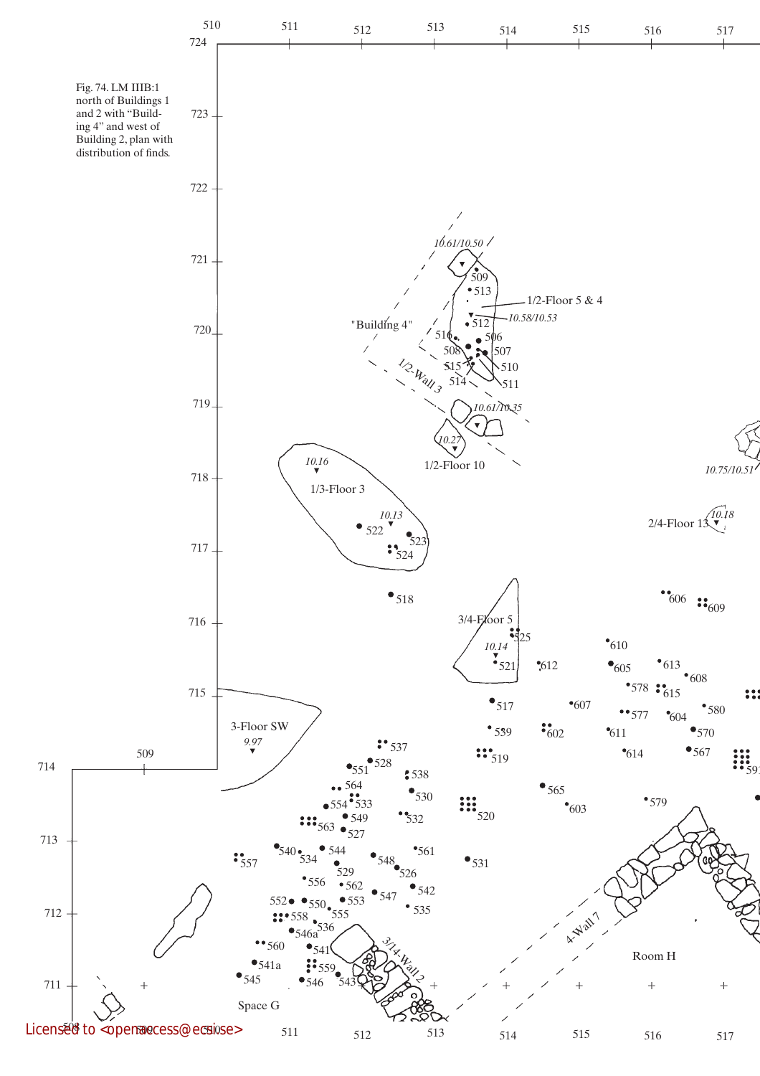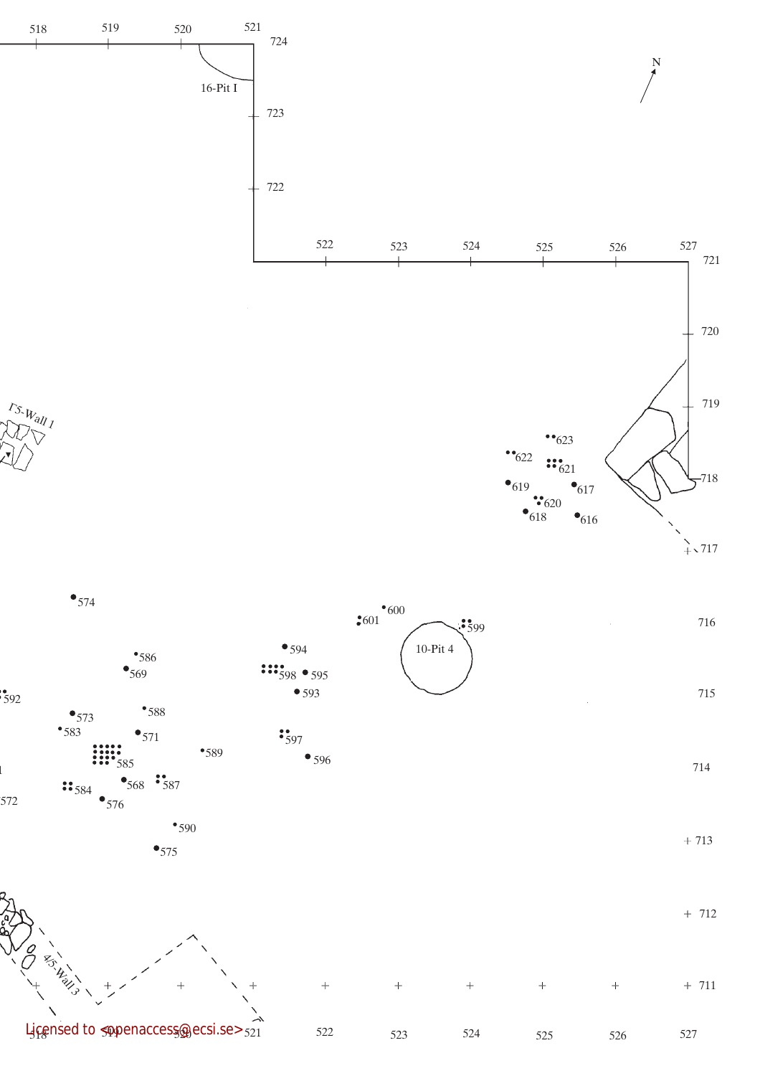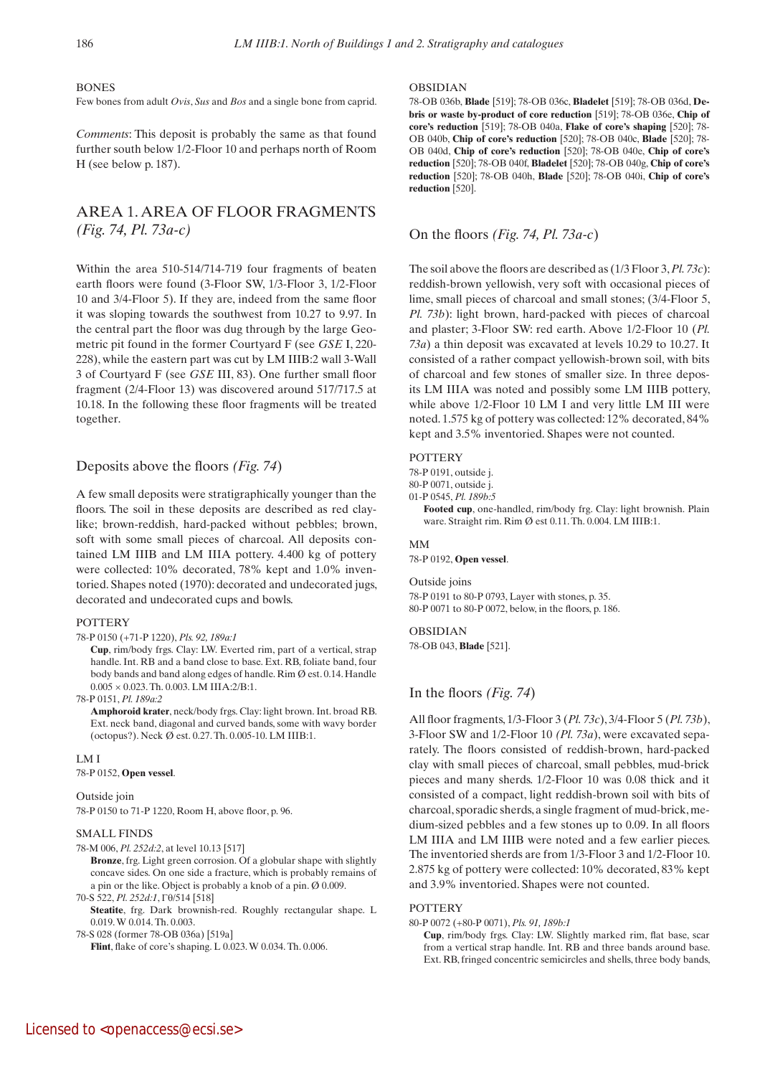## **BONES**

Few bones from adult *Ovis*, *Sus* and *Bos* and a single bone from caprid.

*Comments*: This deposit is probably the same as that found further south below 1/2-Floor 10 and perhaps north of Room H (see below p. 187).

# AREA 1. AREA OF FLOOR FRAGMENTS *(Fig. 74, Pl. 73a-c)*

Within the area 510-514/714-719 four fragments of beaten earth floors were found (3-Floor SW, 1/3-Floor 3, 1/2-Floor 10 and 3/4-Floor 5). If they are, indeed from the same floor it was sloping towards the southwest from 10.27 to 9.97. In the central part the floor was dug through by the large Geometric pit found in the former Courtyard F (see *GSE* I, 220- 228), while the eastern part was cut by LM IIIB:2 wall 3-Wall 3 of Courtyard F (see *GSE* III, 83). One further small floor fragment (2/4-Floor 13) was discovered around 517/717.5 at 10.18. In the following these floor fragments will be treated together.

# Deposits above the floors *(Fig. 74*)

A few small deposits were stratigraphically younger than the floors. The soil in these deposits are described as red claylike; brown-reddish, hard-packed without pebbles; brown, soft with some small pieces of charcoal. All deposits contained LM IIIB and LM IIIA pottery. 4.400 kg of pottery were collected: 10% decorated, 78% kept and 1.0% inventoried. Shapes noted (1970): decorated and undecorated jugs, decorated and undecorated cups and bowls.

# **POTTERY**

78-P 0150 (+71-P 1220), *Pls. 92, 189a:1*

 **Cup**, rim/body frgs. Clay: LW. Everted rim, part of a vertical, strap handle. Int. RB and a band close to base. Ext. RB, foliate band, four body bands and band along edges of handle. Rim Ø est. 0.14. Handle  $0.005 \times 0.023$ . Th.  $0.003$ . LM IIIA:2/B:1.

78-P 0151, *Pl. 189a:2*

 **Amphoroid krater**, neck/body frgs. Clay: light brown. Int. broad RB. Ext. neck band, diagonal and curved bands, some with wavy border (octopus?). Neck Ø est. 0.27. Th. 0.005-10. LM IIIB:1.

## LM I

78-P 0152, **Open vessel**.

### Outside join

78-P 0150 to 71-P 1220, Room H, above floor, p. 96.

# SMALL FINDS

78-M 006, *Pl. 252d:2*, at level 10.13 [517]

**Bronze**, frg. Light green corrosion. Of a globular shape with slightly concave sides. On one side a fracture, which is probably remains of a pin or the like. Object is probably a knob of a pin. Ø 0.009. 70-S 522, *Pl. 252d:1*, Gq/514 [518]

**Steatite**, frg. Dark brownish-red. Roughly rectangular shape. L 0.019. W 0.014. Th. 0.003.

78-S 028 (former 78-OB 036a) [519a]

**Flint**, flake of core's shaping. L 0.023. W 0.034. Th. 0.006.

## OBSIDIAN

78-OB 036b, **Blade** [519]; 78-OB 036c, **Bladelet** [519]; 78-OB 036d, **Debris or waste by-product of core reduction** [519]; 78-OB 036e, **Chip of core's reduction** [519]; 78-OB 040a, **Flake of core's shaping** [520]; 78- OB 040b, **Chip of core's reduction** [520]; 78-OB 040c, **Blade** [520]; 78- OB 040d, **Chip of core's reduction** [520]; 78-OB 040e, **Chip of core's reduction** [520]; 78-OB 040f, **Bladelet** [520]; 78-OB 040g, **Chip of core's reduction** [520]; 78-OB 040h, **Blade** [520]; 78-OB 040i, **Chip of core's reduction** [520].

# On the floors *(Fig. 74, Pl. 73a-c*)

The soil above the floors are described as (1/3 Floor 3, *Pl. 73c*): reddish-brown yellowish, very soft with occasional pieces of lime, small pieces of charcoal and small stones; (3/4-Floor 5, *Pl. 73b*): light brown, hard-packed with pieces of charcoal and plaster; 3-Floor SW: red earth. Above 1/2-Floor 10 (*Pl. 73a*) a thin deposit was excavated at levels 10.29 to 10.27. It consisted of a rather compact yellowish-brown soil, with bits of charcoal and few stones of smaller size. In three deposits LM IIIA was noted and possibly some LM IIIB pottery, while above 1/2-Floor 10 LM I and very little LM III were noted. 1.575 kg of pottery was collected: 12% decorated, 84% kept and 3.5% inventoried. Shapes were not counted.

# **POTTERY**

78-P 0191, outside j.

80-P 0071, outside j.

01-P 0545, *Pl. 189b:5*

 **Footed cup**, one-handled, rim/body frg. Clay: light brownish. Plain ware. Straight rim. Rim Ø est 0.11. Th. 0.004. LM IIIB:1.

# MM

78-P 0192, **Open vessel**.

Outside joins 78-P 0191 to 80-P 0793, Layer with stones, p. 35. 80-P 0071 to 80-P 0072, below, in the floors, p. 186.

# OBSIDIAN

78-OB 043, **Blade** [521].

# In the floors *(Fig. 74*)

All floor fragments, 1/3-Floor 3 (*Pl. 73c*), 3/4-Floor 5 (*Pl. 73b*), 3-Floor SW and 1/2-Floor 10 *(Pl. 73a*), were excavated separately. The floors consisted of reddish-brown, hard-packed clay with small pieces of charcoal, small pebbles, mud-brick pieces and many sherds. 1/2-Floor 10 was 0.08 thick and it consisted of a compact, light reddish-brown soil with bits of charcoal, sporadic sherds, a single fragment of mud-brick, medium-sized pebbles and a few stones up to 0.09. In all floors LM IIIA and LM IIIB were noted and a few earlier pieces. The inventoried sherds are from 1/3-Floor 3 and 1/2-Floor 10. 2.875 kg of pottery were collected: 10% decorated, 83% kept and 3.9% inventoried. Shapes were not counted.

### **POTTERY**

#### 80-P 0072 (+80-P 0071), *Pls. 91, 189b:1*

 **Cup**, rim/body frgs. Clay: LW. Slightly marked rim, flat base, scar from a vertical strap handle. Int. RB and three bands around base. Ext. RB, fringed concentric semicircles and shells, three body bands,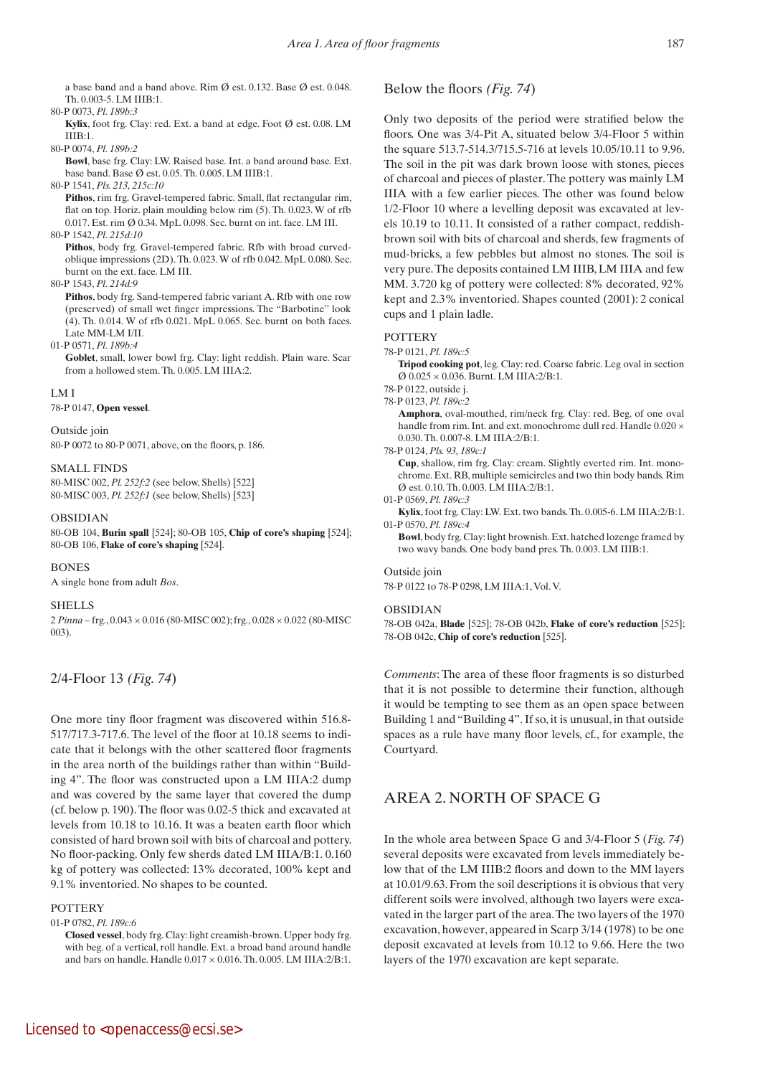a base band and a band above. Rim Ø est. 0.132. Base Ø est. 0.048. Th. 0.003-5. LM IIIB:1.

80-P 0073, *Pl. 189b:3*

**Kylix**, foot frg. Clay: red. Ext. a band at edge. Foot  $\emptyset$  est. 0.08. LM IIIB:1.

80-P 0074, *Pl. 189b:2*

 **Bowl**, base frg. Clay: LW. Raised base. Int. a band around base. Ext. base band. Base Ø est. 0.05. Th. 0.005. LM IIIB:1.

80-P 1541, *Pls. 213, 215c:10*

 **Pithos**, rim frg. Gravel-tempered fabric. Small, flat rectangular rim, flat on top. Horiz. plain moulding below rim (5). Th. 0.023. W of rfb 0.017. Est. rim Ø 0.34. MpL 0.098. Sec. burnt on int. face. LM III.

80-P 1542, *Pl. 215d:10*

Pithos, body frg. Gravel-tempered fabric. Rfb with broad curvedoblique impressions (2D). Th. 0.023. W of rfb 0.042. MpL 0.080. Sec. burnt on the ext. face. LM III.

80-P 1543, *Pl. 214d:9*

Pithos, body frg. Sand-tempered fabric variant A. Rfb with one row (preserved) of small wet finger impressions. The "Barbotine" look (4). Th. 0.014. W of rfb 0.021. MpL 0.065. Sec. burnt on both faces. Late MM-LM I/II.

01-P 0571, *Pl. 189b:4*

Goblet, small, lower bowl frg. Clay: light reddish. Plain ware. Scar from a hollowed stem. Th. 0.005. LM IIIA:2.

LM I

78-P 0147, **Open vessel**.

Outside join

80-P 0072 to 80-P 0071, above, on the floors, p. 186.

### SMALL FINDS

80-MISC 002, *Pl. 252f:2* (see below, Shells) [522] 80-MISC 003, *Pl. 252f:1* (see below, Shells) [523]

#### OBSIDIAN

80-OB 104, **Burin spall** [524]; 80-OB 105, **Chip of core's shaping** [524]; 80-OB 106, **Flake of core's shaping** [524].

#### BONES

A single bone from adult *Bos*.

### **SHELLS**

2 *Pinna* – frg., 0.043 × 0.016 (80-MISC 002); frg., 0.028 × 0.022 (80-MISC 003).

# 2/4-Floor 13 *(Fig. 74*)

One more tiny floor fragment was discovered within 516.8- 517/717.3-717.6. The level of the floor at 10.18 seems to indicate that it belongs with the other scattered floor fragments in the area north of the buildings rather than within "Building 4". The floor was constructed upon a LM IIIA:2 dump and was covered by the same layer that covered the dump (cf. below p. 190). The floor was 0.02-5 thick and excavated at levels from 10.18 to 10.16. It was a beaten earth floor which consisted of hard brown soil with bits of charcoal and pottery. No floor-packing. Only few sherds dated LM IIIA/B:1. 0.160 kg of pottery was collected: 13% decorated, 100% kept and 9.1% inventoried. No shapes to be counted.

# **POTTERY**

01-P 0782, *Pl. 189c:6*

 **Closed vessel**, body frg. Clay: light creamish-brown. Upper body frg. with beg. of a vertical, roll handle. Ext. a broad band around handle and bars on handle. Handle  $0.017 \times 0.016$ . Th.  $0.005$ . LM IIIA:2/B:1.

# Below the floors *(Fig. 74*)

Only two deposits of the period were stratified below the floors. One was 3/4-Pit A, situated below 3/4-Floor 5 within the square 513.7-514.3/715.5-716 at levels 10.05/10.11 to 9.96. The soil in the pit was dark brown loose with stones, pieces of charcoal and pieces of plaster. The pottery was mainly LM IIIA with a few earlier pieces. The other was found below 1/2-Floor 10 where a levelling deposit was excavated at levels 10.19 to 10.11. It consisted of a rather compact, reddishbrown soil with bits of charcoal and sherds, few fragments of mud-bricks, a few pebbles but almost no stones. The soil is very pure. The deposits contained LM IIIB, LM IIIA and few MM. 3.720 kg of pottery were collected: 8% decorated, 92% kept and 2.3% inventoried. Shapes counted (2001): 2 conical cups and 1 plain ladle.

# **POTTERY**

78-P 0121, *Pl. 189c:5*

 **Tripod cooking pot**, leg. Clay: red. Coarse fabric. Leg oval in section Ø 0.025 × 0.036. Burnt. LM IIIA:2/B:1.

- 78-P 0122, outside j.
- 78-P 0123, *Pl. 189c:2*

 **Amphora**, oval-mouthed, rim/neck frg. Clay: red. Beg. of one oval handle from rim. Int. and ext. monochrome dull red. Handle 0.020  $\times$ 0.030. Th. 0.007-8. LM IIIA:2/B:1.

78-P 0124, *Pls. 93, 189c:1*

 **Cup**, shallow, rim frg. Clay: cream. Slightly everted rim. Int. monochrome. Ext. RB, multiple semicircles and two thin body bands. Rim Ø est. 0.10. Th. 0.003. LM IIIA:2/B:1.

- 01-P 0569, *Pl. 189c:3*
- **Kylix**, foot frg. Clay: LW. Ext. two bands. Th. 0.005-6. LM IIIA:2/B:1. 01-P 0570, *Pl. 189c:4*
- **Bowl**, body frg. Clay: light brownish. Ext. hatched lozenge framed by two wavy bands. One body band pres. Th. 0.003. LM IIIB:1.

### Outside join

78-P 0122 to 78-P 0298, LM IIIA:1, Vol. V.

### OBSIDIAN

78-OB 042a, **Blade** [525]; 78-OB 042b, **Flake of core's reduction** [525]; 78-OB 042c, **Chip of core's reduction** [525].

*Comments*: The area of these floor fragments is so disturbed that it is not possible to determine their function, although it would be tempting to see them as an open space between Building 1 and "Building 4". If so, it is unusual, in that outside spaces as a rule have many floor levels, cf., for example, the Courtyard.

# AREA 2. NORTH OF SPACE G

In the whole area between Space G and 3/4-Floor 5 (*Fig. 74*) several deposits were excavated from levels immediately below that of the LM IIIB:2 floors and down to the MM layers at 10.01/9.63. From the soil descriptions it is obvious that very different soils were involved, although two layers were excavated in the larger part of the area. The two layers of the 1970 excavation, however, appeared in Scarp 3/14 (1978) to be one deposit excavated at levels from 10.12 to 9.66. Here the two layers of the 1970 excavation are kept separate.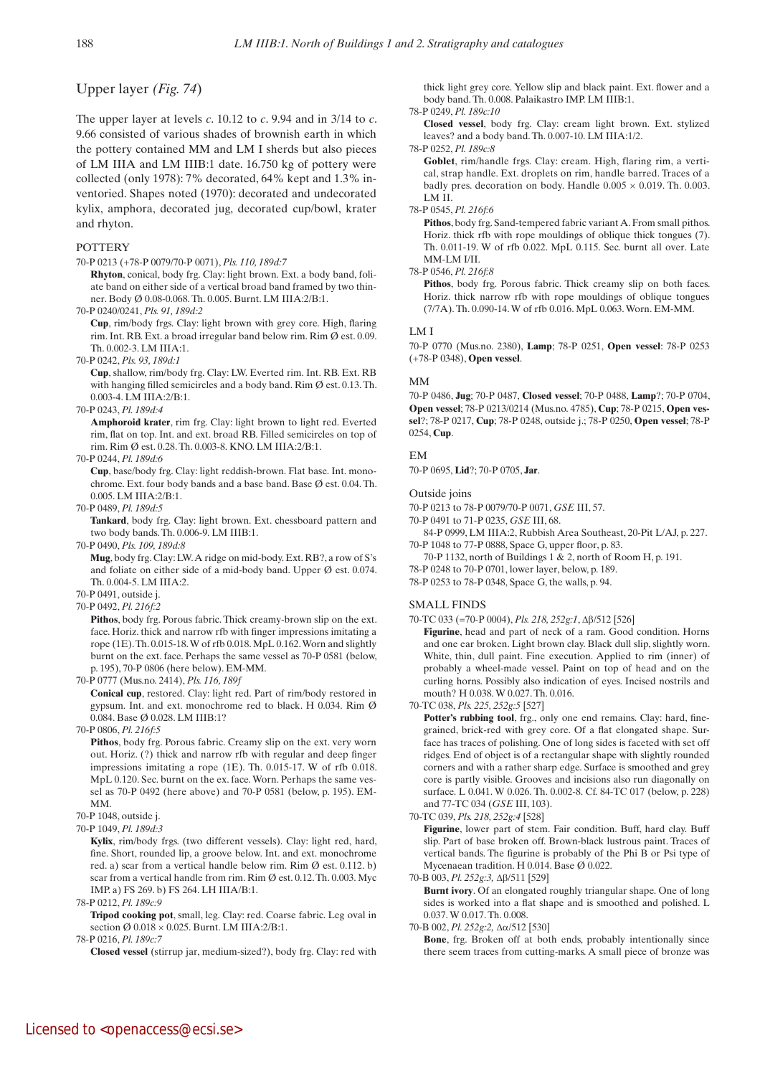# Upper layer *(Fig. 74*)

The upper layer at levels *c*. 10.12 to *c*. 9.94 and in 3/14 to *c*. 9.66 consisted of various shades of brownish earth in which the pottery contained MM and LM I sherds but also pieces of LM IIIA and LM IIIB:1 date. 16.750 kg of pottery were collected (only 1978): 7% decorated, 64% kept and 1.3% inventoried. Shapes noted (1970): decorated and undecorated kylix, amphora, decorated jug, decorated cup/bowl, krater and rhyton.

# **POTTERY**

- 70-P 0213 (+78-P 0079/70-P 0071), *Pls. 110, 189d:7*
- **Rhyton**, conical, body frg. Clay: light brown. Ext. a body band, foliate band on either side of a vertical broad band framed by two thinner. Body Ø 0.08-0.068. Th. 0.005. Burnt. LM IIIA:2/B:1.
- 70-P 0240/0241, *Pls. 91, 189d:2*

 **Cup**, rim/body frgs. Clay: light brown with grey core. High, flaring rim. Int. RB. Ext. a broad irregular band below rim. Rim Ø est. 0.09. Th. 0.002-3. LM IIIA:1.

70-P 0242, *Pls. 93, 189d:1*

 **Cup**, shallow, rim/body frg. Clay: LW. Everted rim. Int. RB. Ext. RB with hanging filled semicircles and a body band. Rim Ø est. 0.13. Th. 0.003-4. LM IIIA:2/B:1.

70-P 0243, *Pl. 189d:4*

 **Amphoroid krater**, rim frg. Clay: light brown to light red. Everted rim, flat on top. Int. and ext. broad RB. Filled semicircles on top of rim. Rim Ø est. 0.28. Th. 0.003-8. KNO. LM IIIA:2/B:1.

70-P 0244, *Pl. 189d:6*

 **Cup**, base/body frg. Clay: light reddish-brown. Flat base. Int. monochrome. Ext. four body bands and a base band. Base Ø est. 0.04. Th. 0.005. LM IIIA:2/B:1.

70-P 0489, *Pl. 189d:5*

 **Tankard**, body frg. Clay: light brown. Ext. chessboard pattern and two body bands. Th. 0.006-9. LM IIIB:1.

70-P 0490, *Pls. 109, 189d:8*

 **Mug**, body frg. Clay: LW. A ridge on mid-body. Ext. RB?, a row of S's and foliate on either side of a mid-body band. Upper Ø est. 0.074. Th. 0.004-5. LM IIIA:2.

- 70-P 0491, outside j.
- 70-P 0492, *Pl. 216f:2*

 **Pithos**, body frg. Porous fabric. Thick creamy-brown slip on the ext. face. Horiz. thick and narrow rfb with finger impressions imitating a rope (1E). Th. 0.015-18. W of rfb 0.018. MpL 0.162. Worn and slightly burnt on the ext. face. Perhaps the same vessel as 70-P 0581 (below, p. 195), 70-P 0806 (here below). EM-MM.

70-P 0777 (Mus.no. 2414), *Pls. 116, 189f*

 **Conical cup**, restored. Clay: light red. Part of rim/body restored in gypsum. Int. and ext. monochrome red to black. H 0.034. Rim Ø 0.084. Base Ø 0.028. LM IIIB:1?

70-P 0806, *Pl. 216f:5*

Pithos, body frg. Porous fabric. Creamy slip on the ext. very worn out. Horiz. (?) thick and narrow rfb with regular and deep finger impressions imitating a rope (1E). Th. 0.015-17. W of rfb 0.018. MpL 0.120. Sec. burnt on the ex. face. Worn. Perhaps the same vessel as 70-P 0492 (here above) and 70-P 0581 (below, p. 195). EM-MM.

- 70-P 1048, outside j.
- 70-P 1049, *Pl. 189d:3*

 **Kylix**, rim/body frgs. (two different vessels). Clay: light red, hard, fine. Short, rounded lip, a groove below. Int. and ext. monochrome red. a) scar from a vertical handle below rim. Rim Ø est. 0.112. b) scar from a vertical handle from rim. Rim Ø est. 0.12. Th. 0.003. Myc IMP. a) FS 269. b) FS 264. LH IIIA/B:1.

78-P 0212, *Pl. 189c:9*

 **Tripod cooking pot**, small, leg. Clay: red. Coarse fabric. Leg oval in section Ø 0.018 × 0.025. Burnt. LM IIIA:2/B:1.

78-P 0216, *Pl. 189c:7*

 **Closed vessel** (stirrup jar, medium-sized?), body frg. Clay: red with

thick light grey core. Yellow slip and black paint. Ext. flower and a body band. Th. 0.008. Palaikastro IMP. LM IIIB:1.

78-P 0249, *Pl. 189c:10*  **Closed vessel**, body frg. Clay: cream light brown. Ext. stylized

leaves? and a body band. Th. 0.007-10. LM IIIA:1/2.

78-P 0252, *Pl. 189c:8*

 **Goblet**, rim/handle frgs. Clay: cream. High, flaring rim, a vertical, strap handle. Ext. droplets on rim, handle barred. Traces of a badly pres. decoration on body. Handle  $0.005 \times 0.019$ . Th. 0.003. LM II.

#### 78-P 0545, *Pl. 216f:6*

**Pithos**, body frg. Sand-tempered fabric variant A. From small pithos. Horiz. thick rfb with rope mouldings of oblique thick tongues (7). Th. 0.011-19. W of rfb 0.022. MpL 0.115. Sec. burnt all over. Late MM-LM I/II.

### 78-P 0546, *Pl. 216f:8*

Pithos, body frg. Porous fabric. Thick creamy slip on both faces. Horiz. thick narrow rfb with rope mouldings of oblique tongues (7/7A). Th. 0.090-14. W of rfb 0.016. MpL 0.063. Worn. EM-MM.

#### LM I

70-P 0770 (Mus.no. 2380), **Lamp**; 78-P 0251, **Open vessel**: 78-P 0253 (+78-P 0348), **Open vessel**.

#### MM

70-P 0486, **Jug**; 70-P 0487, **Closed vessel**; 70-P 0488, **Lamp**?; 70-P 0704, **Open vessel**; 78-P 0213/0214 (Mus.no. 4785), **Cup**; 78-P 0215, **Open vessel**?; 78-P 0217, **Cup**; 78-P 0248, outside j.; 78-P 0250, **Open vessel**; 78-P 0254, **Cup**.

#### EM

70-P 0695, **Lid**?; 70-P 0705, **Jar**.

Outside joins

- 70-P 0213 to 78-P 0079/70-P 0071, *GSE* III, 57.
- 70-P 0491 to 71-P 0235, *GSE* III, 68.
- 84-P 0999, LM IIIA:2, Rubbish Area Southeast, 20-Pit L/AJ, p. 227. 70-P 1048 to 77-P 0888, Space G, upper floor, p. 83.
- 70-P 1132, north of Buildings 1 & 2, north of Room H, p. 191.
- 78-P 0248 to 70-P 0701, lower layer, below, p. 189.
- 78-P 0253 to 78-P 0348, Space G, the walls, p. 94.

#### SMALL FINDS

70-TC 033 (=70-P 0004), Pls. 218, 252g:1, Δβ/512 [526]

- **Figurine**, head and part of neck of a ram. Good condition. Horns and one ear broken. Light brown clay. Black dull slip, slightly worn. White, thin, dull paint. Fine execution. Applied to rim (inner) of probably a wheel-made vessel. Paint on top of head and on the curling horns. Possibly also indication of eyes. Incised nostrils and mouth? H 0.038. W 0.027. Th. 0.016.
- 70-TC 038, *Pls. 225, 252g:5* [527]

 **Potter's rubbing tool**, frg., only one end remains. Clay: hard, finegrained, brick-red with grey core. Of a flat elongated shape. Surface has traces of polishing. One of long sides is faceted with set off ridges. End of object is of a rectangular shape with slightly rounded corners and with a rather sharp edge. Surface is smoothed and grey core is partly visible. Grooves and incisions also run diagonally on surface. L 0.041. W 0.026. Th. 0.002-8. Cf. 84-TC 017 (below, p. 228) and 77-TC 034 (*GSE* III, 103).

# 70-TC 039, *Pls. 218, 252g:4* [528]

 **Figurine**, lower part of stem. Fair condition. Buff, hard clay. Buff slip. Part of base broken off. Brown-black lustrous paint. Traces of vertical bands. The figurine is probably of the Phi B or Psi type of Mycenaean tradition. H 0.014. Base Ø 0.022.

## 70-B 003, *Pl.* 252g:3, Δβ/511 [529]

 **Burnt ivory**. Of an elongated roughly triangular shape. One of long sides is worked into a flat shape and is smoothed and polished. L 0.037. W 0.017. Th. 0.008.

70-B 002, *Pl.* 252g:2, Δα/512 [530]

**Bone**, frg. Broken off at both ends, probably intentionally since there seem traces from cutting-marks. A small piece of bronze was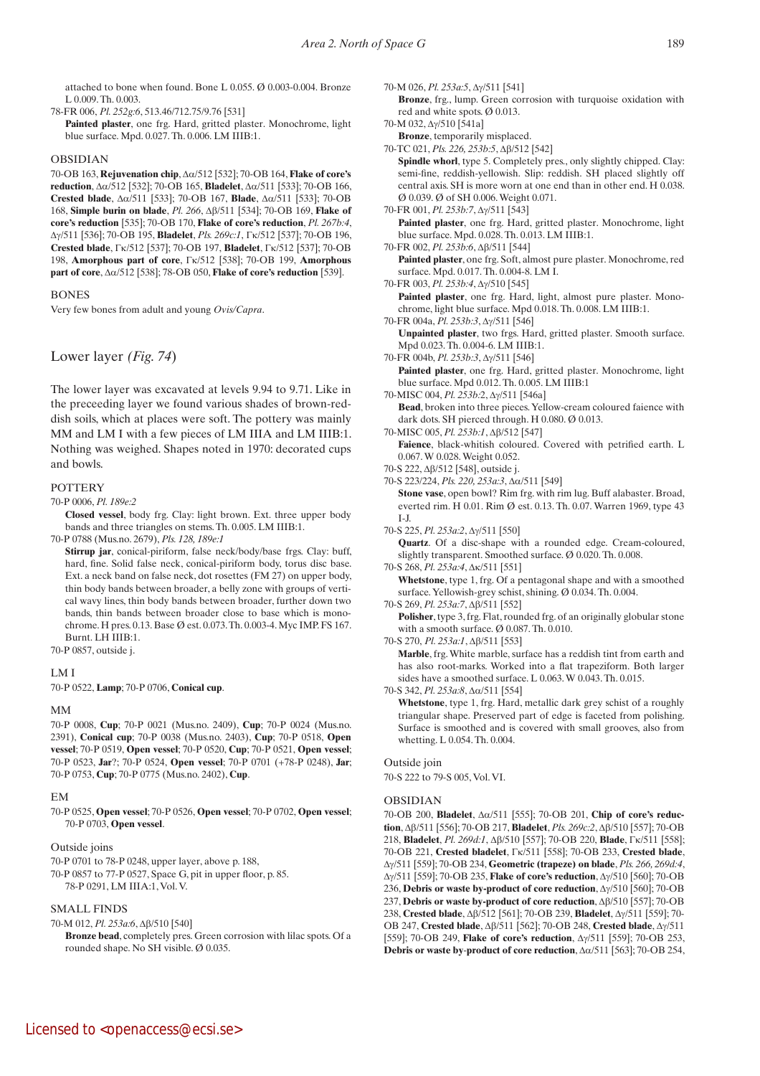attached to bone when found. Bone L 0.055. Ø 0.003-0.004. Bronze L 0.009. Th. 0.003.

78-FR 006, *Pl. 252g:6*, 513.46/712.75/9.76 [531]

 **Painted plaster**, one frg. Hard, gritted plaster. Monochrome, light blue surface. Mpd. 0.027. Th. 0.006. LM IIIB:1.

# OBSIDIAN

70-OB 163, **Rejuvenation chip**, Da/512 [532]; 70-OB 164, **Flake of core's reduction**,  $\Delta \alpha/512$  [532]; 70-OB 165, **Bladelet**,  $\Delta \alpha/511$  [533]; 70-OB 166, **Crested blade**, Δα/511 [533]; 70-OB 167, **Blade**, Δα/511 [533]; 70-OB 168, **Simple burin on blade**, *Pl. 266*, Δβ/511 [534]; 70-OB 169, **Flake of core's reduction** [535]; 70-OB 170, **Flake of core's reduction**, *Pl. 267b:4*, Dg/511 [536]; 70-OB 195, **Bladelet**, *Pls. 269c:1*, Gk/512 [537]; 70-OB 196, **Crested blade**, Gk/512 [537]; 70-OB 197, **Bladelet**, Gk/512 [537]; 70-OB 198, **Amorphous part of core**, Gk/512 [538]; 70-OB 199, **Amorphous part of core**, Da/512 [538]; 78-OB 050, **Flake of core's reduction** [539].

### **BONES**

Very few bones from adult and young *Ovis/Capra*.

# Lower layer *(Fig. 74*)

The lower layer was excavated at levels 9.94 to 9.71. Like in the preceeding layer we found various shades of brown-reddish soils, which at places were soft. The pottery was mainly MM and LM I with a few pieces of LM IIIA and LM IIIB:1. Nothing was weighed. Shapes noted in 1970: decorated cups and bowls.

### **POTTERY**

70-P 0006, *Pl. 189e:2*

 **Closed vessel**, body frg. Clay: light brown. Ext. three upper body bands and three triangles on stems. Th. 0.005. LM IIIB:1.

70-P 0788 (Mus.no. 2679), *Pls. 128, 189e:1*

**Stirrup** jar, conical-piriform, false neck/body/base frgs. Clay: buff, hard, fine. Solid false neck, conical-piriform body, torus disc base. Ext. a neck band on false neck, dot rosettes (FM 27) on upper body, thin body bands between broader, a belly zone with groups of vertical wavy lines, thin body bands between broader, further down two bands, thin bands between broader close to base which is monochrome. H pres. 0.13. Base Ø est. 0.073. Th. 0.003-4. Myc IMP. FS 167. Burnt. LH IIIB:1.

70-P 0857, outside j.

#### LM I

70-P 0522, **Lamp**; 70-P 0706, **Conical cup**.

# MM

70-P 0008, **Cup**; 70-P 0021 (Mus.no. 2409), **Cup**; 70-P 0024 (Mus.no. 2391), **Conical cup**; 70-P 0038 (Mus.no. 2403), **Cup**; 70-P 0518, **Open vessel**; 70-P 0519, **Open vessel**; 70-P 0520, **Cup**; 70-P 0521, **Open vessel**; 70-P 0523, **Jar**?; 70-P 0524, **Open vessel**; 70-P 0701 (+78-P 0248), **Jar**; 70-P 0753, **Cup**; 70-P 0775 (Mus.no. 2402), **Cup**.

# EM

70-P 0525, **Open vessel**; 70-P 0526, **Open vessel**; 70-P 0702, **Open vessel**; 70-P 0703, **Open vessel**.

#### Outside joins

70-P 0701 to 78-P 0248, upper layer, above p. 188, 70-P 0857 to 77-P 0527, Space G, pit in upper floor, p. 85. 78-P 0291, LM IIIA:1, Vol. V.

# SMALL FINDS

70-M 012, *Pl. 253a:6*, Δβ/510 [540]

 **Bronze bead**, completely pres. Green corrosion with lilac spots. Of a rounded shape. No SH visible. Ø 0.035.

70-M 026, *PL. 253a:5*, Ay/511 [541]

**Bronze**, frg., lump. Green corrosion with turquoise oxidation with red and white spots. Ø 0.013.

70-M 032, Δγ/510 [541a]

**Bronze**, temporarily misplaced.

70-TC 021, *Pls.* 226, 253b:5, Δβ/512 [542]

Spindle whorl, type 5. Completely pres., only slightly chipped. Clay: semi-fine, reddish-yellowish. Slip: reddish. SH placed slightly off central axis. SH is more worn at one end than in other end. H 0.038. Ø 0.039. Ø of SH 0.006. Weight 0.071.

70-FR 001, *Pl. 253b:7*, Δγ/511 [543]  **Painted plaster**, one frg. Hard, gritted plaster. Monochrome, light blue surface. Mpd. 0.028. Th. 0.013. LM IIIB:1.

- 70-FR 002, *Pl.* 253b:6, Δβ/511 [544]  **Painted plaster**, one frg. Soft, almost pure plaster. Monochrome, red surface. Mpd. 0.017. Th. 0.004-8. LM I.
- 70-FR 003, Pl. 253b:4, Δγ/510 [545]
- Painted plaster, one frg. Hard, light, almost pure plaster. Monochrome, light blue surface. Mpd 0.018. Th. 0.008. LM IIIB:1.
- 70-FR 004a, Pl. 253b:3, Δγ/511 [546]  **Unpainted plaster**, two frgs. Hard, gritted plaster. Smooth surface. Mpd 0.023. Th. 0.004-6. LM IIIB:1.
- 70-FR 004b, *Pl. 253b:3*,  $\Delta y/511$  [546]  **Painted plaster**, one frg. Hard, gritted plaster. Monochrome, light blue surface. Mpd 0.012. Th. 0.005. LM IIIB:1
- 70-MISC 004, *Pl. 253b:2*, Δγ/511 [546a]  **Bead**, broken into three pieces. Yellow-cream coloured faience with dark dots. SH pierced through. H 0.080. Ø 0.013.
- 70-MISC 005, *Pl. 253b:1*, Δβ/512 [547]
- **Faience**, black-whitish coloured. Covered with petrified earth. L 0.067. W 0.028. Weight 0.052.
- 70-S 222, Δβ/512 [548], outside j.
- 70-S 223/224, *Pls.* 220, 253a:3, Δα/511 [549]

 **Stone vase**, open bowl? Rim frg. with rim lug. Buff alabaster. Broad, everted rim. H 0.01. Rim Ø est. 0.13. Th. 0.07. Warren 1969, type 43 I-J.

70-S 225, *Pl. 253a:2*, Δγ/511 [550]

 **Quartz**. Of a disc-shape with a rounded edge. Cream-coloured, slightly transparent. Smoothed surface. Ø 0.020. Th. 0.008.

70-S 268, *Pl. 253a:4*, Dk/511 [551]  **Whetstone**, type 1, frg. Of a pentagonal shape and with a smoothed surface. Yellowish-grey schist, shining. Ø 0.034. Th. 0.004.

70-S 269, *Pl. 253a:7*, Δβ/511 [552] **Polisher**, type 3, frg. Flat, rounded frg. of an originally globular stone with a smooth surface. Ø 0.087. Th. 0.010.

70-S 270, Pl. 253a:1, Δβ/511 [553]

 **Marble**, frg. White marble, surface has a reddish tint from earth and has also root-marks. Worked into a flat trapeziform. Both larger sides have a smoothed surface. L 0.063. W 0.043. Th. 0.015.

70-S 342, *Pl. 253a:8*, Δα/511 [554]

 **Whetstone**, type 1, frg. Hard, metallic dark grey schist of a roughly triangular shape. Preserved part of edge is faceted from polishing. Surface is smoothed and is covered with small grooves, also from whetting. L 0.054. Th. 0.004.

### Outside join

70-S 222 to 79-S 005, Vol. VI.

### OBSIDIAN

70-OB 200, **Bladelet**, Da/511 [555]; 70-OB 201, **Chip of core's reduction**, Δβ/511 [556]; 70-OB 217, **Bladelet**, *Pls. 269c:2*, Δβ/510 [557]; 70-OB 218, **Bladelet**, *Pl. 269d:1*, Δβ/510 [557]; 70-OB 220, **Blade**, Γκ/511 [558]; 70-OB 221, **Crested bladelet**, Gk/511 [558]; 70-OB 233, **Crested blade**, Dg/511 [559]; 70-OB 234, **Geometric (trapeze) on blade**, *Pls. 266, 269d:4*, Dg/511 [559]; 70-OB 235, **Flake of core's reduction**, Dg/510 [560]; 70-OB 236, **Debris or waste by-product of core reduction**, Dg/510 [560]; 70-OB 237, **Debris or waste by-product of core reduction**, Db/510 [557]; 70-OB 238, **Crested blade**, Δβ/512 [561]; 70-OB 239, **Bladelet**, Δγ/511 [559]; 70-OB 247, Crested blade, Δβ/511 [562]; 70-OB 248, Crested blade, Δγ/511 [559]; 70-OB 249, **Flake of core's reduction**, Dg/511 [559]; 70-OB 253, **Debris** or waste by-product of core reduction,  $\Delta \alpha/511$  [563]; 70-OB 254,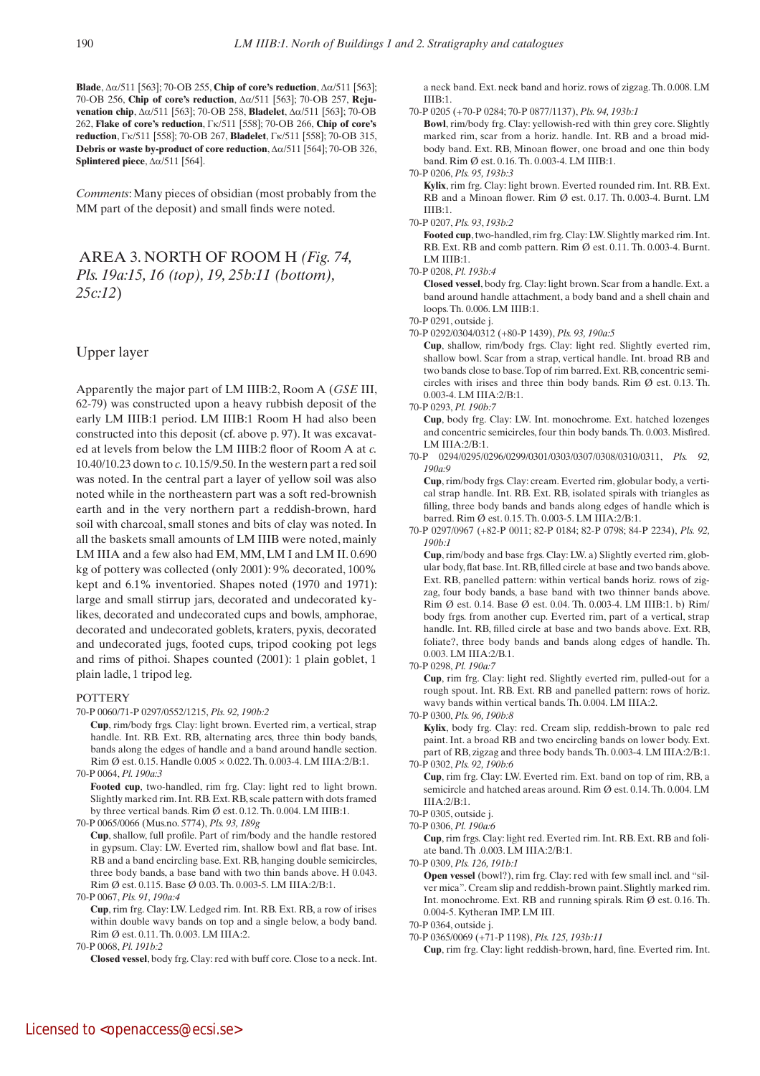**Blade**,  $\Delta \alpha/511$  [563]; 70-OB 255, **Chip of core's reduction**,  $\Delta \alpha/511$  [563]; 70-OB 256, **Chip of core's reduction**, Da/511 [563]; 70-OB 257, **Rejuvenation chip**,  $\Delta \alpha$ /511 [563]; 70-OB 258, **Bladelet**,  $\Delta \alpha$ /511 [563]; 70-OB 262, **Flake of core's reduction**, Gk/511 [558]; 70-OB 266, **Chip of core's reduction**,  $\Gamma$ <sub>K</sub>/511 [558]; 70-OB 267, **Bladelet**,  $\Gamma$ <sub>K</sub>/511 [558]; 70-OB 315, **Debris or waste by-product of core reduction**, Da/511 [564]; 70-OB 326, **Splintered** piece,  $\Delta \alpha$ /511 [564].

*Comments*: Many pieces of obsidian (most probably from the MM part of the deposit) and small finds were noted.

 AREA 3. NORTH OF ROOM H *(Fig. 74, Pls. 19a:15, 16 (top), 19, 25b:11 (bottom), 25c:12*)

# Upper layer

Apparently the major part of LM IIIB:2, Room A (*GSE* III, 62-79) was constructed upon a heavy rubbish deposit of the early LM IIIB:1 period. LM IIIB:1 Room H had also been constructed into this deposit (cf. above p. 97). It was excavated at levels from below the LM IIIB:2 floor of Room A at *c.*  10.40/10.23 down to *c.* 10.15/9.50. In the western part a red soil was noted. In the central part a layer of yellow soil was also noted while in the northeastern part was a soft red-brownish earth and in the very northern part a reddish-brown, hard soil with charcoal, small stones and bits of clay was noted. In all the baskets small amounts of LM IIIB were noted, mainly LM IIIA and a few also had EM, MM, LM I and LM II. 0.690 kg of pottery was collected (only 2001): 9% decorated, 100% kept and 6.1% inventoried. Shapes noted (1970 and 1971): large and small stirrup jars, decorated and undecorated kylikes, decorated and undecorated cups and bowls, amphorae, decorated and undecorated goblets, kraters, pyxis, decorated and undecorated jugs, footed cups, tripod cooking pot legs and rims of pithoi. Shapes counted (2001): 1 plain goblet, 1 plain ladle, 1 tripod leg.

# **POTTERY**

- 70-P 0060/71-P 0297/0552/1215, *Pls. 92, 190b:2*
- **Cup**, rim/body frgs. Clay: light brown. Everted rim, a vertical, strap handle. Int. RB. Ext. RB, alternating arcs, three thin body bands, bands along the edges of handle and a band around handle section. Rim Ø est. 0.15. Handle 0.005 × 0.022. Th. 0.003-4. LM IIIA:2/B:1. 70-P 0064, *Pl. 190a:3*
- Footed cup, two-handled, rim frg. Clay: light red to light brown. Slightly marked rim. Int. RB. Ext. RB, scale pattern with dots framed by three vertical bands. Rim Ø est. 0.12. Th. 0.004. LM IIIB:1.
- 70-P 0065/0066 (Mus.no. 5774), *Pls. 93, 189g*
- **Cup**, shallow, full profile. Part of rim/body and the handle restored in gypsum. Clay: LW. Everted rim, shallow bowl and flat base. Int. RB and a band encircling base. Ext. RB, hanging double semicircles, three body bands, a base band with two thin bands above. H 0.043. Rim Ø est. 0.115. Base Ø 0.03. Th. 0.003-5. LM IIIA:2/B:1.

70-P 0067, *Pls. 91, 190a:4*

 **Cup**, rim frg. Clay: LW. Ledged rim. Int. RB. Ext. RB, a row of irises within double wavy bands on top and a single below, a body band. Rim Ø est. 0.11. Th. 0.003. LM IIIA:2.

70-P 0068, *Pl. 191b:2*

 **Closed vessel**, body frg. Clay: red with buff core. Close to a neck. Int.

a neck band. Ext. neck band and horiz. rows of zigzag. Th. 0.008. LM IIIB:1.

- 70-P 0205 (+70-P 0284; 70-P 0877/1137), *Pls. 94, 193b:1*
	- **Bowl**, rim/body frg. Clay: yellowish-red with thin grey core. Slightly marked rim, scar from a horiz. handle. Int. RB and a broad midbody band. Ext. RB, Minoan flower, one broad and one thin body band. Rim Ø est. 0.16. Th. 0.003-4. LM IIIB:1.
- 70-P 0206, *Pls. 95, 193b:3*

 **Kylix**, rim frg. Clay: light brown. Everted rounded rim. Int. RB. Ext. RB and a Minoan flower. Rim Ø est. 0.17. Th. 0.003-4. Burnt. LM  $I I I R·1.$ 

70-P 0207, *Pls. 93*, *193b:2*

 **Footed cup**, two-handled, rim frg. Clay: LW. Slightly marked rim. Int. RB. Ext. RB and comb pattern. Rim Ø est. 0.11. Th. 0.003-4. Burnt. LM IIIB:1.

70-P 0208, *Pl. 193b:4*

 **Closed vessel**, body frg. Clay: light brown. Scar from a handle. Ext. a band around handle attachment, a body band and a shell chain and loops. Th. 0.006. LM IIIB:1.

- 70-P 0291, outside j.
- 70-P 0292/0304/0312 (+80-P 1439), *Pls. 93, 190a:5*
	- **Cup**, shallow, rim/body frgs. Clay: light red. Slightly everted rim, shallow bowl. Scar from a strap, vertical handle. Int. broad RB and two bands close to base. Top of rim barred. Ext. RB, concentric semicircles with irises and three thin body bands. Rim Ø est. 0.13. Th. 0.003-4. LM IIIA:2/B:1.
- 70-P 0293, *Pl. 190b:7*

 **Cup**, body frg. Clay: LW. Int. monochrome. Ext. hatched lozenges and concentric semicircles, four thin body bands. Th. 0.003. Misfired. LM IIIA:2/B:1.

70-P 0294/0295/0296/0299/0301/0303/0307/0308/0310/0311, *Pls. 92, 190a:9*

 **Cup**, rim/body frgs. Clay: cream. Everted rim, globular body, a vertical strap handle. Int. RB. Ext. RB, isolated spirals with triangles as filling, three body bands and bands along edges of handle which is barred. Rim Ø est. 0.15. Th. 0.003-5. LM IIIA:2/B:1.

70-P 0297/0967 (+82-P 0011; 82-P 0184; 82-P 0798; 84-P 2234), *Pls. 92, 190b:1*

 **Cup**, rim/body and base frgs. Clay: LW. a) Slightly everted rim, globular body, flat base. Int. RB, filled circle at base and two bands above. Ext. RB, panelled pattern: within vertical bands horiz. rows of zigzag, four body bands, a base band with two thinner bands above. Rim Ø est. 0.14. Base Ø est. 0.04. Th. 0.003-4. LM IIIB:1. b) Rim/ body frgs. from another cup. Everted rim, part of a vertical, strap handle. Int. RB, filled circle at base and two bands above. Ext. RB, foliate?, three body bands and bands along edges of handle. Th. 0.003. LM IIIA:2/B.1.

70-P 0298, *Pl. 190a:7*

 **Cup**, rim frg. Clay: light red. Slightly everted rim, pulled-out for a rough spout. Int. RB. Ext. RB and panelled pattern: rows of horiz. wavy bands within vertical bands. Th. 0.004. LM IIIA:2.

70-P 0300, *Pls. 96, 190b:8*

 **Kylix**, body frg. Clay: red. Cream slip, reddish-brown to pale red paint. Int. a broad RB and two encircling bands on lower body. Ext. part of RB, zigzag and three body bands. Th. 0.003-4. LM IIIA:2/B:1. 70-P 0302, *Pls. 92, 190b:6*

 **Cup**, rim frg. Clay: LW. Everted rim. Ext. band on top of rim, RB, a semicircle and hatched areas around. Rim Ø est. 0.14. Th. 0.004. LM IIIA:2/B:1.

70-P 0306, *Pl. 190a:6*

 **Cup**, rim frgs. Clay: light red. Everted rim. Int. RB. Ext. RB and foliate band. Th .0.003. LM IIIA:2/B:1.

70-P 0309, *Pls. 126, 191b:1*

**Open vessel** (bowl?), rim frg. Clay: red with few small incl. and "silver mica". Cream slip and reddish-brown paint. Slightly marked rim. Int. monochrome. Ext. RB and running spirals. Rim Ø est. 0.16. Th. 0.004-5. Kytheran IMP. LM III.

70-P 0365/0069 (+71-P 1198), *Pls. 125, 193b:11*

 **Cup**, rim frg. Clay: light reddish-brown, hard, fine. Everted rim. Int.

<sup>70-</sup>P 0305, outside j.

<sup>70-</sup>P 0364, outside j.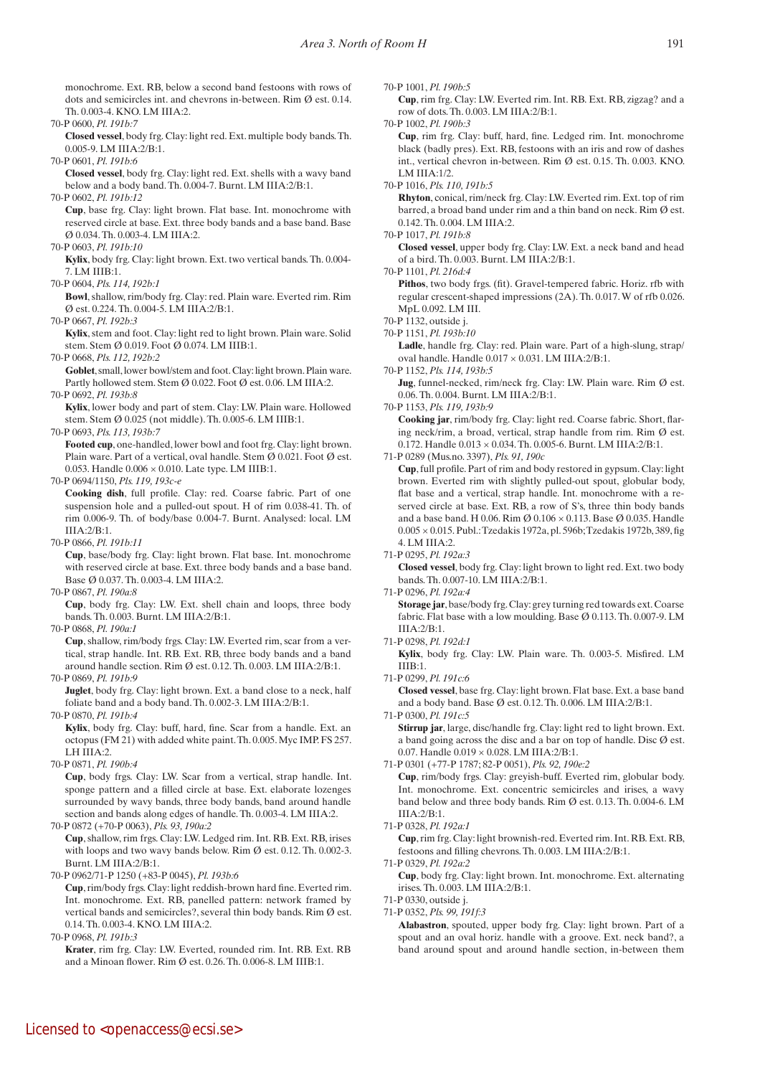monochrome. Ext. RB, below a second band festoons with rows of dots and semicircles int. and chevrons in-between. Rim Ø est. 0.14. Th. 0.003-4. KNO. LM IIIA:2.

70-P 0600, *Pl. 191b:7*

 **Closed vessel**, body frg. Clay: light red. Ext. multiple body bands. Th. 0.005-9. LM IIIA:2/B:1.

70-P 0601, *Pl. 191b:6*

 **Closed vessel**, body frg. Clay: light red. Ext. shells with a wavy band below and a body band. Th. 0.004-7. Burnt. LM IIIA:2/B:1.

70-P 0602, *Pl. 191b:12*

 **Cup**, base frg. Clay: light brown. Flat base. Int. monochrome with reserved circle at base. Ext. three body bands and a base band. Base Ø 0.034. Th. 0.003-4. LM IIIA:2.

70-P 0603, *Pl. 191b:10*

**Kylix**, body frg. Clay: light brown. Ext. two vertical bands. Th. 0.004-7. LM IIIB:1.

 **Bowl**, shallow, rim/body frg. Clay: red. Plain ware. Everted rim. Rim Ø est. 0.224. Th. 0.004-5. LM IIIA:2/B:1.

70-P 0667, *Pl. 192b:3*

**Kylix**, stem and foot. Clay: light red to light brown. Plain ware. Solid stem. Stem Ø 0.019. Foot Ø 0.074. LM IIIB:1.

70-P 0668, *Pls. 112, 192b:2*

Goblet, small, lower bowl/stem and foot. Clay: light brown. Plain ware. Partly hollowed stem. Stem Ø 0.022. Foot Ø est. 0.06. LM IIIA:2. 70-P 0692, *Pl. 193b:8*

 **Kylix**, lower body and part of stem. Clay: LW. Plain ware. Hollowed stem. Stem Ø 0.025 (not middle). Th. 0.005-6. LM IIIB:1.

70-P 0693, *Pls. 113, 193b:7*

 **Footed cup**, one-handled, lower bowl and foot frg. Clay: light brown. Plain ware. Part of a vertical, oval handle. Stem  $\emptyset$  0.021. Foot  $\emptyset$  est. 0.053. Handle  $0.006 \times 0.010$ . Late type. LM IIIB:1.

70-P 0694/1150, *Pls. 119, 193c-e*

 **Cooking dish**, full profile. Clay: red. Coarse fabric. Part of one suspension hole and a pulled-out spout. H of rim 0.038-41. Th. of rim 0.006-9. Th. of body/base 0.004-7. Burnt. Analysed: local. LM IIIA:2/B:1.

70-P 0866, *Pl. 191b:11*

 **Cup**, base/body frg. Clay: light brown. Flat base. Int. monochrome with reserved circle at base. Ext. three body bands and a base band. Base Ø 0.037. Th. 0.003-4. LM IIIA:2.

70-P 0867, *Pl. 190a:8*

 **Cup**, body frg. Clay: LW. Ext. shell chain and loops, three body bands. Th. 0.003. Burnt. LM IIIA:2/B:1.

70-P 0868, *Pl. 190a:1*

 **Cup**, shallow, rim/body frgs. Clay: LW. Everted rim, scar from a vertical, strap handle. Int. RB. Ext. RB, three body bands and a band around handle section. Rim Ø est. 0.12. Th. 0.003. LM IIIA:2/B:1.

70-P 0869, *Pl. 191b:9*

 **Juglet**, body frg. Clay: light brown. Ext. a band close to a neck, half foliate band and a body band. Th. 0.002-3. LM IIIA:2/B:1.

70-P 0870, *Pl. 191b:4*

 **Kylix**, body frg. Clay: buff, hard, fine. Scar from a handle. Ext. an octopus (FM 21) with added white paint. Th. 0.005. Myc IMP. FS 257. LH IIIA:2.

70-P 0871, *Pl. 190b:4*

 **Cup**, body frgs. Clay: LW. Scar from a vertical, strap handle. Int. sponge pattern and a filled circle at base. Ext. elaborate lozenges surrounded by wavy bands, three body bands, band around handle section and bands along edges of handle. Th. 0.003-4. LM IIIA:2.

70-P 0872 (+70-P 0063), *Pls. 93, 190a:2*

 **Cup**, shallow, rim frgs. Clay: LW. Ledged rim. Int. RB. Ext. RB, irises with loops and two wavy bands below. Rim Ø est. 0.12. Th. 0.002-3. Burnt. LM IIIA:2/B:1.

70-P 0962/71-P 1250 (+83-P 0045), *Pl. 193b:6*

 **Cup**, rim/body frgs. Clay: light reddish-brown hard fine. Everted rim. Int. monochrome. Ext. RB, panelled pattern: network framed by vertical bands and semicircles?, several thin body bands. Rim Ø est. 0.14. Th. 0.003-4. KNO. LM IIIA:2.

70-P 0968, *Pl. 191b:3*

 **Krater**, rim frg. Clay: LW. Everted, rounded rim. Int. RB. Ext. RB and a Minoan flower. Rim Ø est. 0.26. Th. 0.006-8. LM IIIB:1.

70-P 1001, *Pl. 190b:5*

 **Cup**, rim frg. Clay: LW. Everted rim. Int. RB. Ext. RB, zigzag? and a row of dots. Th. 0.003. LM IIIA:2/B:1.

70-P 1002, *Pl. 190b:3*

 **Cup**, rim frg. Clay: buff, hard, fine. Ledged rim. Int. monochrome black (badly pres). Ext. RB, festoons with an iris and row of dashes int., vertical chevron in-between. Rim Ø est. 0.15. Th. 0.003. KNO. LM IIIA:1/2.

70-P 1016, *Pls. 110, 191b:5*

 **Rhyton**, conical, rim/neck frg. Clay: LW. Everted rim. Ext. top of rim barred, a broad band under rim and a thin band on neck. Rim Ø est. 0.142. Th. 0.004. LM IIIA:2.

70-P 1017, *Pl. 191b:8*

 **Closed vessel**, upper body frg. Clay: LW. Ext. a neck band and head of a bird. Th. 0.003. Burnt. LM IIIA:2/B:1.

70-P 1101, *Pl. 216d:4* 

Pithos, two body frgs. (fit). Gravel-tempered fabric. Horiz. rfb with regular crescent-shaped impressions (2A). Th. 0.017. W of rfb 0.026. MpL 0.092. LM III.

```
70-P 1132, outside j.
```
70-P 1151, *Pl. 193b:10*

Ladle, handle frg. Clay: red. Plain ware. Part of a high-slung, strap/ oval handle. Handle 0.017 × 0.031. LM IIIA:2/B:1.

70-P 1152, *Pls. 114, 193b:5*

 **Jug**, funnel-necked, rim/neck frg. Clay: LW. Plain ware. Rim Ø est. 0.06. Th. 0.004. Burnt. LM IIIA:2/B:1.

70-P 1153, *Pls. 119, 193b:9*

 **Cooking jar**, rim/body frg. Clay: light red. Coarse fabric. Short, flaring neck/rim, a broad, vertical, strap handle from rim. Rim Ø est. 0.172. Handle 0.013 × 0.034. Th. 0.005-6. Burnt. LM IIIA:2/B:1.

71-P 0289 (Mus.no. 3397), *Pls. 91, 190c*

 **Cup**, full profile. Part of rim and body restored in gypsum. Clay: light brown. Everted rim with slightly pulled-out spout, globular body, flat base and a vertical, strap handle. Int. monochrome with a reserved circle at base. Ext. RB, a row of S's, three thin body bands and a base band. H 0.06. Rim Ø 0.106 × 0.113. Base Ø 0.035. Handle 0.005 × 0.015. Publ.: Tzedakis 1972a, pl. 596b; Tzedakis 1972b, 389, fig  $4$  J M IIIA $\cdot$ 2.

71-P 0295, *Pl. 192a:3*

 **Closed vessel**, body frg. Clay: light brown to light red. Ext. two body bands. Th. 0.007-10. LM IIIA:2/B:1.

 **Storage jar**, base/body frg. Clay: grey turning red towards ext. Coarse fabric. Flat base with a low moulding. Base Ø 0.113. Th. 0.007-9. LM III $A:2/R:1$ 

71-P 0298, *Pl. 192d:1*

 **Kylix**, body frg. Clay: LW. Plain ware. Th. 0.003-5. Misfired. LM IIIB:1.

71-P 0299, *Pl. 191c:6*

 **Closed vessel**, base frg. Clay: light brown. Flat base. Ext. a base band and a body band. Base Ø est. 0.12. Th. 0.006. LM IIIA:2/B:1.

71-P 0300, *Pl. 191c:5*

 **Stirrup jar**, large, disc/handle frg. Clay: light red to light brown. Ext. a band going across the disc and a bar on top of handle. Disc Ø est. 0.07. Handle 0.019 × 0.028. LM IIIA:2/B:1.

 **Cup**, rim/body frgs. Clay: greyish-buff. Everted rim, globular body. Int. monochrome. Ext. concentric semicircles and irises, a wavy band below and three body bands. Rim Ø est. 0.13. Th. 0.004-6. LM IIIA:2/B:1.

#### 71-P 0328, *Pl. 192a:1*

 **Cup**, rim frg. Clay: light brownish-red. Everted rim. Int. RB. Ext. RB, festoons and filling chevrons. Th. 0.003. LM IIIA:2/B:1.

71-P 0329, *Pl. 192a:2*

 **Cup**, body frg. Clay: light brown. Int. monochrome. Ext. alternating irises. Th. 0.003. LM IIIA:2/B:1.

71-P 0330, outside j.

71-P 0352, *Pls. 99, 191f:3*

 **Alabastron**, spouted, upper body frg. Clay: light brown. Part of a spout and an oval horiz. handle with a groove. Ext. neck band?, a band around spout and around handle section, in-between them

<sup>70-</sup>P 0604, *Pls. 114, 192b:1* 

<sup>71-</sup>P 0296, *Pl. 192a:4*

<sup>71-</sup>P 0301 (+77-P 1787; 82-P 0051), *Pls. 92, 190e:2*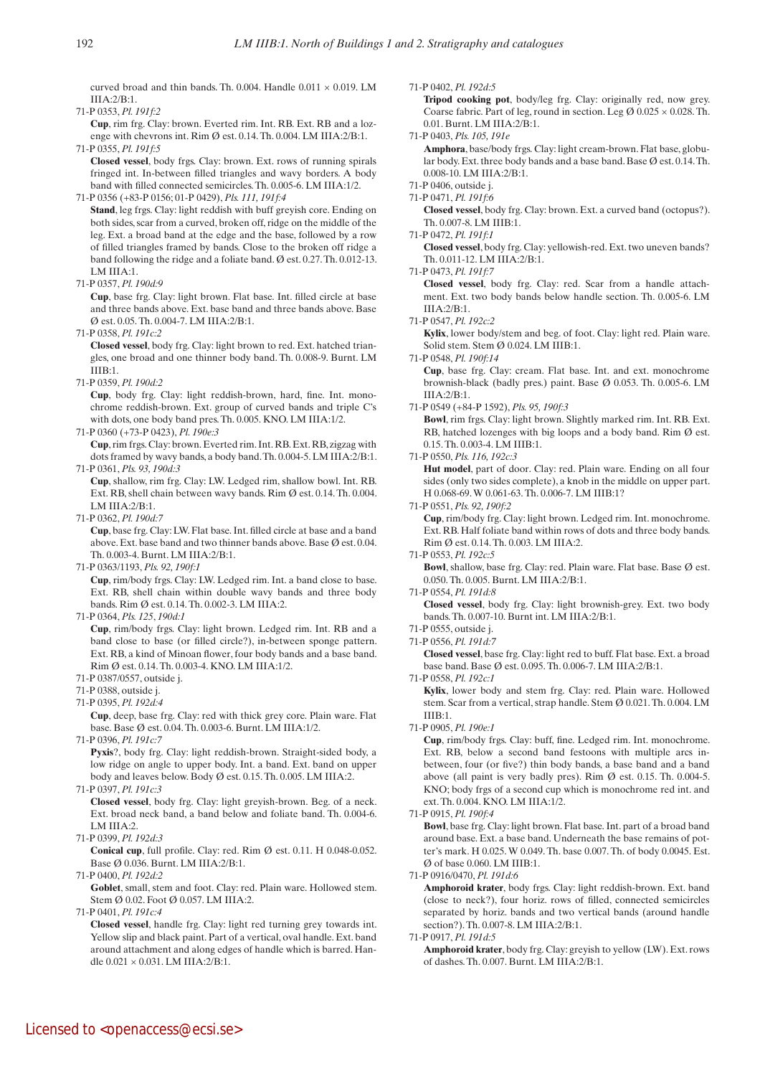curved broad and thin bands. Th. 0.004. Handle  $0.011 \times 0.019$ . LM  $IIIA:2/B:1$ .

71-P 0353, *Pl. 191f:2*  **Cup**, rim frg. Clay: brown. Everted rim. Int. RB. Ext. RB and a lozenge with chevrons int. Rim  $\emptyset$  est. 0.14. Th. 0.004. LM IIIA:2/B:1. 71-P 0355, *Pl. 191f:5*

- **Closed vessel**, body frgs. Clay: brown. Ext. rows of running spirals fringed int. In-between filled triangles and wavy borders. A body band with filled connected semicircles. Th. 0.005-6. LM IIIA:1/2.
- 71-P 0356 (+83-P 0156; 01-P 0429), *Pls. 111, 191f:4*

Stand, leg frgs. Clay: light reddish with buff greyish core. Ending on both sides, scar from a curved, broken off, ridge on the middle of the leg. Ext. a broad band at the edge and the base, followed by a row of filled triangles framed by bands. Close to the broken off ridge a band following the ridge and a foliate band. Ø est. 0.27. Th. 0.012-13. LM IIIA:1.

71-P 0357, *Pl. 190d:9*

 **Cup**, base frg. Clay: light brown. Flat base. Int. filled circle at base and three bands above. Ext. base band and three bands above. Base Ø est. 0.05. Th. 0.004-7. LM IIIA:2/B:1.

71-P 0358, *Pl. 191c:2*

 **Closed vessel**, body frg. Clay: light brown to red. Ext. hatched triangles, one broad and one thinner body band. Th. 0.008-9. Burnt. LM IIIB:1.

71-P 0359, *Pl. 190d:2*

 **Cup**, body frg. Clay: light reddish-brown, hard, fine. Int. monochrome reddish-brown. Ext. group of curved bands and triple C's with dots, one body band pres. Th. 0.005. KNO. LM IIIA:1/2.

71-P 0360 (+73-P 0423), *Pl. 190e:3*

 **Cup**, rim frgs. Clay: brown. Everted rim. Int. RB. Ext. RB, zigzag with dots framed by wavy bands, a body band. Th. 0.004-5. LM IIIA:2/B:1. 71-P 0361, *Pls. 93, 190d:3*

 **Cup**, shallow, rim frg. Clay: LW. Ledged rim, shallow bowl. Int. RB. Ext. RB, shell chain between wavy bands. Rim Ø est. 0.14. Th. 0.004. LM IIIA:2/B:1.

71-P 0362, *Pl. 190d:7*

 **Cup**, base frg. Clay: LW. Flat base. Int. filled circle at base and a band above. Ext. base band and two thinner bands above. Base Ø est. 0.04. Th. 0.003-4. Burnt. LM IIIA:2/B:1.

71-P 0363/1193, *Pls. 92, 190f:1*

 **Cup**, rim/body frgs. Clay: LW. Ledged rim. Int. a band close to base. Ext. RB, shell chain within double wavy bands and three body bands. Rim Ø est. 0.14. Th. 0.002-3. LM IIIA:2.

71-P 0364, *Pls. 125*, *190d:1*

 **Cup**, rim/body frgs. Clay: light brown. Ledged rim. Int. RB and a band close to base (or filled circle?), in-between sponge pattern. Ext. RB, a kind of Minoan flower, four body bands and a base band. Rim Ø est. 0.14. Th. 0.003-4. KNO. LM IIIA:1/2.

- 71-P 0387/0557, outside j.
- 71-P 0388, outside j.
- 71-P 0395, *Pl. 192d:4*

 **Cup**, deep, base frg. Clay: red with thick grey core. Plain ware. Flat base. Base Ø est. 0.04. Th. 0.003-6. Burnt. LM IIIA:1/2.

71-P 0396, *Pl. 191c:7*

Pyxis?, body frg. Clay: light reddish-brown. Straight-sided body, a low ridge on angle to upper body. Int. a band. Ext. band on upper body and leaves below. Body Ø est. 0.15. Th. 0.005. LM IIIA:2. 71-P 0397, *Pl. 191c:3*

 **Closed vessel**, body frg. Clay: light greyish-brown. Beg. of a neck. Ext. broad neck band, a band below and foliate band. Th. 0.004-6. LM III $A:2$ 

71-P 0399, *Pl. 192d:3*

 **Conical cup**, full profile. Clay: red. Rim Ø est. 0.11. H 0.048-0.052. Base Ø 0.036. Burnt. LM IIIA:2/B:1.

71-P 0400, *Pl. 192d:2*

Goblet, small, stem and foot. Clay: red. Plain ware. Hollowed stem. Stem Ø 0.02. Foot Ø 0.057. LM IIIA:2.

71-P 0401, *Pl. 191c:4*

 **Closed vessel**, handle frg. Clay: light red turning grey towards int. Yellow slip and black paint. Part of a vertical, oval handle. Ext. band around attachment and along edges of handle which is barred. Handle 0.021 × 0.031. LM IIIA:2/B:1.

71-P 0402, *Pl. 192d:5*

 **Tripod cooking pot**, body/leg frg. Clay: originally red, now grey. Coarse fabric. Part of leg, round in section. Leg  $\varnothing$  0.025  $\times$  0.028. Th. 0.01. Burnt. LM IIIA:2/B:1.

71-P 0403, *Pls. 105, 191e*

 **Amphora**, base/body frgs. Clay: light cream-brown. Flat base, globular body. Ext. three body bands and a base band. Base Ø est. 0.14. Th. 0.008-10. LM IIIA:2/B:1.

- 71-P 0406, outside j.
- 71-P 0471, *Pl. 191f:6*

 **Closed vessel**, body frg. Clay: brown. Ext. a curved band (octopus?). Th. 0.007-8. LM IIIB:1.

71-P 0472, *Pl. 191f:1*

 **Closed vessel**, body frg. Clay: yellowish-red. Ext. two uneven bands? Th. 0.011-12. LM IIIA:2/B:1.

### 71-P 0473, *Pl. 191f:7*

 **Closed vessel**, body frg. Clay: red. Scar from a handle attachment. Ext. two body bands below handle section. Th. 0.005-6. LM IIIA:2/B:1.

71-P 0547, *Pl. 192c:2*

**Kylix**, lower body/stem and beg. of foot. Clay: light red. Plain ware. Solid stem. Stem Ø 0.024. LM IIIB:1.

71-P 0548, *Pl. 190f:14*

 **Cup**, base frg. Clay: cream. Flat base. Int. and ext. monochrome brownish-black (badly pres.) paint. Base Ø 0.053. Th. 0.005-6. LM IIIA:2/B:1.

71-P 0549 (+84-P 1592), *Pls. 95, 190f:3*

 **Bowl**, rim frgs. Clay: light brown. Slightly marked rim. Int. RB. Ext. RB, hatched lozenges with big loops and a body band. Rim Ø est. 0.15. Th. 0.003-4. LM IIIB:1.

71-P 0550, *Pls. 116, 192c:3*

Hut model, part of door. Clay: red. Plain ware. Ending on all four sides (only two sides complete), a knob in the middle on upper part. H 0.068-69. W 0.061-63. Th. 0.006-7. LM IIIB:1?

71-P 0551, *Pls. 92, 190f:2*

 **Cup**, rim/body frg. Clay: light brown. Ledged rim. Int. monochrome. Ext. RB. Half foliate band within rows of dots and three body bands. Rim Ø est. 0.14. Th. 0.003. LM IIIA:2.

71-P 0553, *Pl. 192c:5*

**Bowl**, shallow, base frg. Clay: red. Plain ware. Flat base. Base Ø est. 0.050. Th. 0.005. Burnt. LM IIIA:2/B:1.

71-P 0554, *Pl. 191d:8*

 **Closed vessel**, body frg. Clay: light brownish-grey. Ext. two body bands. Th. 0.007-10. Burnt int. LM IIIA:2/B:1.

- 71-P 0555, outside j.
- 71-P 0556, *Pl. 191d:7*

 **Closed vessel**, base frg. Clay: light red to buff. Flat base. Ext. a broad base band. Base Ø est. 0.095. Th. 0.006-7. LM IIIA:2/B:1.

71-P 0558, *Pl. 192c:1*

 **Kylix**, lower body and stem frg. Clay: red. Plain ware. Hollowed stem. Scar from a vertical, strap handle. Stem Ø 0.021. Th. 0.004. LM IIIB:1.

71-P 0905, *Pl. 190e:1*

 **Cup**, rim/body frgs. Clay: buff, fine. Ledged rim. Int. monochrome. Ext. RB, below a second band festoons with multiple arcs inbetween, four (or five?) thin body bands, a base band and a band above (all paint is very badly pres). Rim Ø est. 0.15. Th. 0.004-5. KNO; body frgs of a second cup which is monochrome red int. and ext. Th. 0.004. KNO. LM IIIA:1/2.

# 71-P 0915, *Pl. 190f:4*

 **Bowl**, base frg. Clay: light brown. Flat base. Int. part of a broad band around base. Ext. a base band. Underneath the base remains of potter's mark. H 0.025. W 0.049. Th. base 0.007. Th. of body 0.0045. Est. Ø of base 0.060. LM IIIB:1.

# 71-P 0916/0470, *Pl. 191d:6*

 **Amphoroid krater**, body frgs. Clay: light reddish-brown. Ext. band (close to neck?), four horiz. rows of filled, connected semicircles separated by horiz. bands and two vertical bands (around handle section?). Th. 0.007-8. LM IIIA:2/B:1.

71-P 0917, *Pl. 191d:5*

 **Amphoroid krater**, body frg. Clay: greyish to yellow (LW). Ext. rows of dashes. Th. 0.007. Burnt. LM IIIA:2/B:1.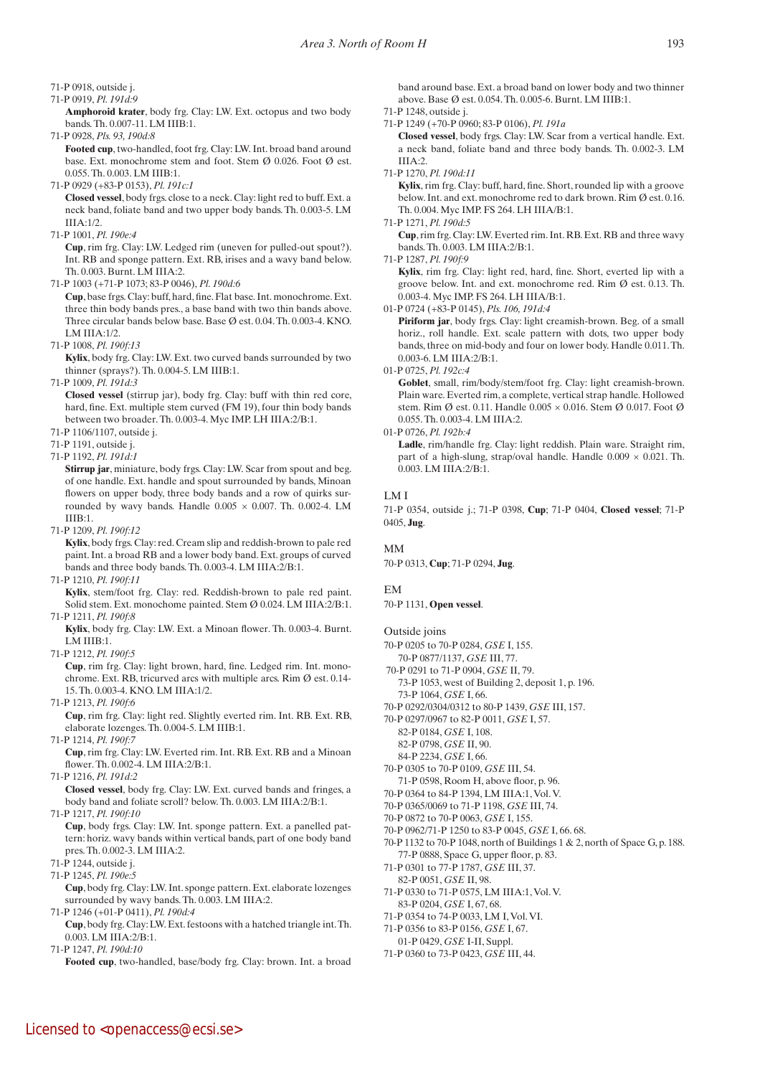- 71-P 0918, outside j.
- 71-P 0919, *Pl. 191d:9*

 **Amphoroid krater**, body frg. Clay: LW. Ext. octopus and two body bands. Th. 0.007-11. LM IIIB:1.

71-P 0928, *Pls. 93, 190d:8*

 **Footed cup**, two-handled, foot frg. Clay: LW. Int. broad band around base. Ext. monochrome stem and foot. Stem Ø 0.026. Foot Ø est. 0.055. Th. 0.003. LM IIIB:1.

71-P 0929 (+83-P 0153), *Pl. 191c:1*

 **Closed vessel**, body frgs. close to a neck. Clay: light red to buff. Ext. a neck band, foliate band and two upper body bands. Th. 0.003-5. LM IIIA:1/2.

71-P 1001, *Pl. 190e:4*

 **Cup**, rim frg. Clay: LW. Ledged rim (uneven for pulled-out spout?). Int. RB and sponge pattern. Ext. RB, irises and a wavy band below. Th. 0.003. Burnt. LM IIIA:2.

71-P 1003 (+71-P 1073; 83-P 0046), *Pl. 190d:6*

 **Cup**, base frgs. Clay: buff, hard, fine. Flat base. Int. monochrome. Ext. three thin body bands pres., a base band with two thin bands above. Three circular bands below base. Base Ø est. 0.04. Th. 0.003-4. KNO. LM IIIA $:1/2$ .

71-P 1008, *Pl. 190f:13*

 **Kylix**, body frg. Clay: LW. Ext. two curved bands surrounded by two thinner (sprays?). Th. 0.004-5. LM IIIB:1.

71-P 1009, *Pl. 191d:3*

 **Closed vessel** (stirrup jar), body frg. Clay: buff with thin red core, hard, fine. Ext. multiple stem curved (FM 19), four thin body bands between two broader. Th. 0.003-4. Myc IMP. LH IIIA:2/B:1.

71-P 1106/1107, outside j.

71-P 1191, outside j.

71-P 1192, *Pl. 191d:1*

 **Stirrup jar**, miniature, body frgs. Clay: LW. Scar from spout and beg. of one handle. Ext. handle and spout surrounded by bands, Minoan flowers on upper body, three body bands and a row of quirks surrounded by wavy bands. Handle  $0.005 \times 0.007$ . Th. 0.002-4. LM  $I I I R·1.$ 

71-P 1209, *Pl. 190f:12*

 **Kylix**, body frgs. Clay: red. Cream slip and reddish-brown to pale red paint. Int. a broad RB and a lower body band. Ext. groups of curved bands and three body bands. Th. 0.003-4. LM IIIA:2/B:1.

71-P 1210, *Pl. 190f:11*

 **Kylix**, stem/foot frg. Clay: red. Reddish-brown to pale red paint. Solid stem. Ext. monochome painted. Stem Ø 0.024. LM IIIA:2/B:1. 71-P 1211, *Pl. 190f:8*

 **Kylix**, body frg. Clay: LW. Ext. a Minoan flower. Th. 0.003-4. Burnt. LM IIIB:1.

71-P 1212, *Pl. 190f:5*

 **Cup**, rim frg. Clay: light brown, hard, fine. Ledged rim. Int. monochrome. Ext. RB, tricurved arcs with multiple arcs. Rim Ø est. 0.14- 15. Th. 0.003-4. KNO. LM IIIA:1/2.

71-P 1213, *Pl. 190f:6*

 **Cup**, rim frg. Clay: light red. Slightly everted rim. Int. RB. Ext. RB, elaborate lozenges. Th. 0.004-5. LM IIIB:1.

71-P 1214, *Pl. 190f:7*

 **Cup**, rim frg. Clay: LW. Everted rim. Int. RB. Ext. RB and a Minoan flower. Th. 0.002-4. LM IIIA:2/B:1.

71-P 1216, *Pl. 191d:2*

 **Closed vessel**, body frg. Clay: LW. Ext. curved bands and fringes, a body band and foliate scroll? below. Th. 0.003. LM IIIA:2/B:1.

71-P 1217, *Pl. 190f:10*

 **Cup**, body frgs. Clay: LW. Int. sponge pattern. Ext. a panelled pattern: horiz. wavy bands within vertical bands, part of one body band pres. Th. 0.002-3. LM IIIA:2.

- 71-P 1244, outside j.
- 71-P 1245, *Pl. 190e:5*

 **Cup**, body frg. Clay: LW. Int. sponge pattern. Ext. elaborate lozenges surrounded by wavy bands. Th. 0.003. LM IIIA:2.

71-P 1246 (+01-P 0411), *Pl. 190d:4*

 **Cup**, body frg. Clay: LW. Ext. festoons with a hatched triangle int. Th. 0.003. LM IIIA:2/B:1.

71-P 1247, *Pl. 190d:10*

band around base. Ext. a broad band on lower body and two thinner above. Base Ø est. 0.054. Th. 0.005-6. Burnt. LM IIIB:1.

- 71-P 1248, outside j.
- 71-P 1249 (+70-P 0960; 83-P 0106), *Pl. 191a*

 **Closed vessel**, body frgs. Clay: LW. Scar from a vertical handle. Ext. a neck band, foliate band and three body bands. Th. 0.002-3. LM IIIA:2.

71-P 1270, *Pl. 190d:11*

 **Kylix**, rim frg. Clay: buff, hard, fine. Short, rounded lip with a groove below. Int. and ext. monochrome red to dark brown. Rim Ø est. 0.16. Th. 0.004. Myc IMP. FS 264. LH IIIA/B:1.

71-P 1271, *Pl. 190d:5*

 **Cup**, rim frg. Clay: LW. Everted rim. Int. RB. Ext. RB and three wavy bands. Th. 0.003. LM IIIA:2/B:1.

71-P 1287, *Pl. 190f:9*

 **Kylix**, rim frg. Clay: light red, hard, fine. Short, everted lip with a groove below. Int. and ext. monochrome red. Rim Ø est. 0.13. Th. 0.003-4. Myc IMP. FS 264. LH IIIA/B:1.

01-P 0724 (+83-P 0145), *Pls. 106, 191d:4*

 **Piriform jar**, body frgs. Clay: light creamish-brown. Beg. of a small horiz., roll handle. Ext. scale pattern with dots, two upper body bands, three on mid-body and four on lower body. Handle 0.011. Th. 0.003-6. LM IIIA:2/B:1.

01-P 0725, *Pl. 192c:4*

 **Goblet**, small, rim/body/stem/foot frg. Clay: light creamish-brown. Plain ware. Everted rim, a complete, vertical strap handle. Hollowed stem. Rim Ø est. 0.11. Handle 0.005 × 0.016. Stem Ø 0.017. Foot Ø 0.055. Th. 0.003-4. LM IIIA:2.

01-P 0726, *Pl. 192b:4*

Ladle, rim/handle frg. Clay: light reddish. Plain ware. Straight rim, part of a high-slung, strap/oval handle. Handle  $0.009 \times 0.021$ . Th. 0.003. LM IIIA:2/B:1.

# LM I

71-P 0354, outside j.; 71-P 0398, **Cup**; 71-P 0404, **Closed vessel**; 71-P 0405, **Jug**.

# MM

70-P 0313, **Cup**; 71-P 0294, **Jug**.

# EM

70-P 1131, **Open vessel**.

# Outside joins

70-P 0205 to 70-P 0284, *GSE* I, 155. 70-P 0877/1137, *GSE* III, 77. 70-P 0291 to 71-P 0904, *GSE* II, 79.

73-P 1053, west of Building 2, deposit 1, p. 196. 73-P 1064, *GSE* I, 66.

- 70-P 0292/0304/0312 to 80-P 1439, *GSE* III, 157.
- 70-P 0297/0967 to 82-P 0011, *GSE* I, 57.
	- 82-P 0184, *GSE* I, 108.
	- 82-P 0798, *GSE* II, 90.
- 84-P 2234, *GSE* I, 66.
- 70-P 0305 to 70-P 0109, *GSE* III, 54. 71-P 0598, Room H, above floor, p. 96.
- 70-P 0364 to 84-P 1394, LM IIIA:1, Vol. V.
- 70-P 0365/0069 to 71-P 1198, *GSE* III, 74.
- 70-P 0872 to 70-P 0063, *GSE* I, 155.
- 70-P 0962/71-P 1250 to 83-P 0045, *GSE* I, 66. 68.
- 70-P 1132 to 70-P 1048, north of Buildings 1 & 2, north of Space G, p. 188. 77-P 0888, Space G, upper floor, p. 83.
- 71-P 0301 to 77-P 1787, *GSE* III, 37.
- 82-P 0051, *GSE* II, 98. 71-P 0330 to 71-P 0575, LM IIIA:1, Vol. V. 83-P 0204, *GSE* I, 67, 68.
- 71-P 0354 to 74-P 0033, LM I, Vol. VI.
- 71-P 0356 to 83-P 0156, *GSE* I, 67.

01-P 0429, *GSE* I-II, Suppl.

71-P 0360 to 73-P 0423, *GSE* III, 44.

**Footed cup**, two-handled, base/body frg. Clay: brown. Int. a broad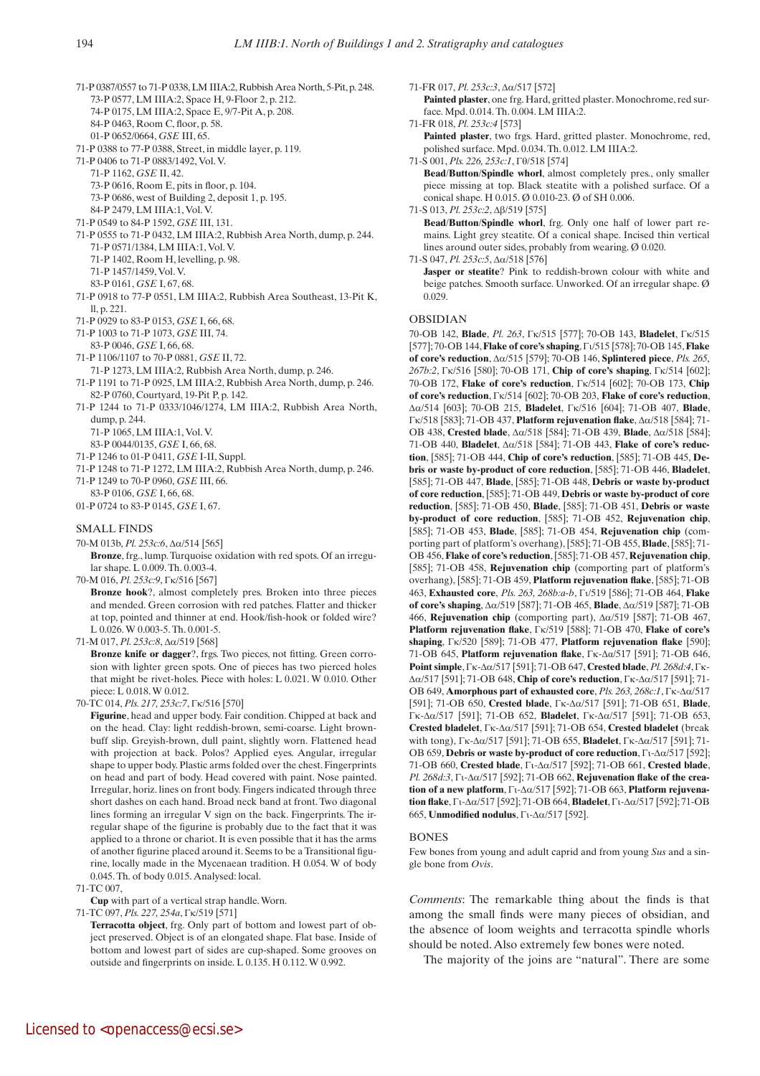- 71-P 0387/0557 to 71-P 0338, LM IIIA:2, Rubbish Area North, 5-Pit, p. 248. 73-P 0577, LM IIIA:2, Space H, 9-Floor 2, p. 212. 74-P 0175, LM IIIA:2, Space E, 9/7-Pit A, p. 208. 84-P 0463, Room C, floor, p. 58. 01-P 0652/0664, *GSE* III, 65.
- 71-P 0388 to 77-P 0388, Street, in middle layer, p. 119.
- 71-P 0406 to 71-P 0883/1492, Vol. V.
	- 71-P 1162, *GSE* II, 42.
	- 73-P 0616, Room E, pits in floor, p. 104.
	- 73-P 0686, west of Building 2, deposit 1, p. 195.
	- 84-P 2479, LM IIIA:1, Vol. V.
- 71-P 0549 to 84-P 1592, *GSE* III, 131.
- 71-P 0555 to 71-P 0432, LM IIIA:2, Rubbish Area North, dump, p. 244. 71-P 0571/1384, LM IIIA:1, Vol. V. 71-P 1402, Room H, levelling, p. 98. 71-P 1457/1459, Vol. V.
- 83-P 0161, *GSE* I, 67, 68. 71-P 0918 to 77-P 0551, LM IIIA:2, Rubbish Area Southeast, 13-Pit K,
- ll, p. 221.
- 71-P 0929 to 83-P 0153, *GSE* I, 66, 68.
- 71-P 1003 to 71-P 1073, *GSE* III, 74. 83-P 0046, *GSE* I, 66, 68.
- 71-P 1106/1107 to 70-P 0881, *GSE* II, 72.
	- 71-P 1273, LM IIIA:2, Rubbish Area North, dump, p. 246.
- 71-P 1191 to 71-P 0925, LM IIIA:2, Rubbish Area North, dump, p. 246. 82-P 0760, Courtyard, 19-Pit P, p. 142.
- 71-P 1244 to 71-P 0333/1046/1274, LM IIIA:2, Rubbish Area North, dump, p. 244.
	- 71-P 1065, LM IIIA:1, Vol. V.
	- 83-P 0044/0135, *GSE* I, 66, 68.
- 71-P 1246 to 01-P 0411, *GSE* I-II, Suppl.
- 71-P 1248 to 71-P 1272, LM IIIA:2, Rubbish Area North, dump, p. 246. 71-P 1249 to 70-P 0960, *GSE* III, 66.
- 83-P 0106, *GSE* I, 66, 68.
- 01-P 0724 to 83-P 0145, *GSE* I, 67.

#### SMALL FINDS

- 70-M 013b, *Pl. 253c:6*, Δα/514 [565] **Bronze**, frg., lump. Turquoise oxidation with red spots. Of an irregular shape. L 0.009. Th. 0.003-4.
- 70-M 016, *Pl. 253c:9*,  $\Gamma$ <sub>K</sub>/516 [567]  **Bronze hook**?, almost completely pres. Broken into three pieces and mended. Green corrosion with red patches. Flatter and thicker at top, pointed and thinner at end. Hook/fish-hook or folded wire? L 0.026. W 0.003-5. Th. 0.001-5.
- 71-M 017, *Pl. 253c:8*, Δα/519 [568]

 **Bronze knife or dagger**?, frgs. Two pieces, not fitting. Green corrosion with lighter green spots. One of pieces has two pierced holes that might be rivet-holes. Piece with holes: L 0.021. W 0.010. Other piece: L 0.018. W 0.012.

70-TC 014, *Pls. 217, 253c:7*, Gk/516 [570]

 **Figurine**, head and upper body. Fair condition. Chipped at back and on the head. Clay: light reddish-brown, semi-coarse. Light brownbuff slip. Greyish-brown, dull paint, slightly worn. Flattened head with projection at back. Polos? Applied eyes. Angular, irregular shape to upper body. Plastic arms folded over the chest. Fingerprints on head and part of body. Head covered with paint. Nose painted. Irregular, horiz. lines on front body. Fingers indicated through three short dashes on each hand. Broad neck band at front. Two diagonal lines forming an irregular V sign on the back. Fingerprints. The irregular shape of the figurine is probably due to the fact that it was applied to a throne or chariot. It is even possible that it has the arms of another figurine placed around it. Seems to be a Transitional figurine, locally made in the Mycenaean tradition. H 0.054. W of body 0.045. Th. of body 0.015. Analysed: local.

71-TC 007,

 **Cup** with part of a vertical strap handle. Worn.

71-TC 097, *Pls.* 227, 254a,  $\Gamma$ <sub>K</sub>/519 [571]

 **Terracotta object**, frg. Only part of bottom and lowest part of object preserved. Object is of an elongated shape. Flat base. Inside of bottom and lowest part of sides are cup-shaped. Some grooves on outside and fingerprints on inside. L 0.135. H 0.112. W 0.992.

71-FR 017, *Pl. 253c:3*, Δα/517 [572]

Painted plaster, one frg. Hard, gritted plaster. Monochrome, red surface. Mpd. 0.014. Th. 0.004. LM IIIA:2.

- 71-FR 018, *Pl. 253c:4* [573] Painted plaster, two frgs. Hard, gritted plaster. Monochrome, red, polished surface. Mpd. 0.034. Th. 0.012. LM IIIA:2.
- 71-S 001, *Pls. 226, 253c:1*,  $\Gamma\theta$ /518 [574] **Bead**/**Button**/**Spindle whorl**, almost completely pres., only smaller piece missing at top. Black steatite with a polished surface. Of a conical shape. H 0.015. Ø 0.010-23. Ø of SH 0.006.

71-S 013, *Pl. 253c:2*, Δβ/519 [575]  **Bead**/**Button**/**Spindle whorl**, frg. Only one half of lower part remains. Light grey steatite. Of a conical shape. Incised thin vertical lines around outer sides, probably from wearing. Ø 0.020.

71-S 047, *Pl. 253c:5*, Δα/518 [576]

 **Jasper or steatite**? Pink to reddish-brown colour with white and beige patches. Smooth surface. Unworked. Of an irregular shape. Ø 0.029.

### OBSIDIAN

70-OB 142, **Blade**, *Pl. 263*, Gk/515 [577]; 70-OB 143, **Bladelet**, Gk/515 [577]; 70-OB 144, **Flake of core's shaping**, Gi/515 [578]; 70-OB 145, **Flake** of core's reduction,  $\Delta \alpha/515$  [579]; 70-OB 146, **Splintered piece**, *Pls. 265*, *267b:2*, Gk/516 [580]; 70-OB 171, **Chip of core's shaping**, Gk/514 [602]; 70-OB 172, **Flake of core's reduction**, Gk/514 [602]; 70-OB 173, **Chip of core's reduction**, Gk/514 [602]; 70-OB 203, **Flake of core's reduction**, Da/514 [603]; 70-OB 215, **Bladelet**, Gk/516 [604]; 71-OB 407, **Blade**, Γκ/518 [583]; 71-OB 437, **Platform rejuvenation flake**, Δα/518 [584]; 71-OB 438, **Crested blade**, Δα/518 [584]; 71-OB 439, **Blade**, Δα/518 [584]; 71-OB 440, **Bladelet**, Da/518 [584]; 71-OB 443, **Flake of core's reduction**, [585]; 71-OB 444, **Chip of core's reduction**, [585]; 71-OB 445, **Debris or waste by-product of core reduction**, [585]; 71-OB 446, **Bladelet**, [585]; 71-OB 447, **Blade**, [585]; 71-OB 448, **Debris or waste by-product of core reduction**, [585]; 71-OB 449, **Debris or waste by-product of core reduction**, [585]; 71-OB 450, **Blade**, [585]; 71-OB 451, **Debris or waste by-product of core reduction**, [585]; 71-OB 452, **Rejuvenation chip**, [585]; 71-OB 453, **Blade**, [585]; 71-OB 454, **Rejuvenation chip** (comporting part of platform's overhang), [585]; 71-OB 455, **Blade**, [585]; 71- OB 456, **Flake of core's reduction**, [585]; 71-OB 457, **Rejuvenation chip**, [585]; 71-OB 458, **Rejuvenation chip** (comporting part of platform's overhang), [585]; 71-OB 459, **Platform rejuvenation flake**, [585]; 71-OB 463, **Exhausted core**, *Pls. 263, 268b:a-b*, Gi/519 [586]; 71-OB 464, **Flake of core's shaping**, Δα/519 [587]; 71-OB 465, **Blade**, Δα/519 [587]; 71-OB 466, **Rejuvenation chip** (comporting part), Δα/519 [587]; 71-OB 467, **Platform rejuvenation flake**, Gk/519 [588]; 71-OB 470, **Flake of core's shaping**, Gk/520 [589]; 71-OB 477, **Platform rejuvenation flake** [590]; 71-OB 645, **Platform rejuvenation flake**, Gk-Δα/517 [591]; 71-OB 646, **Point simple**, Γκ-Δα/517 [591]; 71-OB 647, **Crested blade**, *Pl. 268d:4*, Γκ-Δα/517 [591]; 71-OB 648, Chip of core's reduction, Γκ-Δα/517 [591]; 71-OB 649, **Amorphous part of exhausted core**, *Pls. 263, 268c:1*, Γκ-Δα/517 [591]; 71-OB 650, **Crested blade**, Γκ-Δα/517 [591]; 71-OB 651, **Blade**, Γκ-Δα/517 [591]; 71-OB 652, **Bladelet**, Γκ-Δα/517 [591]; 71-OB 653, **Crested bladelet**,  $\Gamma$ <sub>K</sub>- $\Delta \alpha$ /517 [591]; 71-OB 654, **Crested bladelet** (break with tong), Γκ-Δα/517 [591]; 71-OB 655, **Bladelet**, Γκ-Δα/517 [591]; 71-OB 659, **Debris** or waste by-product of core reduction,  $\Gamma_1$ - $\Delta \alpha$ /517 [592]; 71-OB 660, **Crested blade**, Gi-Da/517 [592]; 71-OB 661, **Crested blade**,  $PL. 268d:3, \Gamma \cdot \Delta \alpha/517$  [592]; 71-OB 662, **Rejuvenation flake of the crea**tion of a new platform,  $\Gamma$ t- $\Delta \alpha$ /517 [592]; 71-OB 663, Platform rejuvena**tion flake**, Γι-Δα/517 [592]; 71-OB 664, **Bladelet**, Γι-Δα/517 [592]; 71-OB 665, **Unmodified nodulus**, Γι-Δα/517 [592].

### **BONES**

Few bones from young and adult caprid and from young *Sus* and a single bone from *Ovis*.

*Comments*: The remarkable thing about the finds is that among the small finds were many pieces of obsidian, and the absence of loom weights and terracotta spindle whorls should be noted. Also extremely few bones were noted.

The majority of the joins are "natural". There are some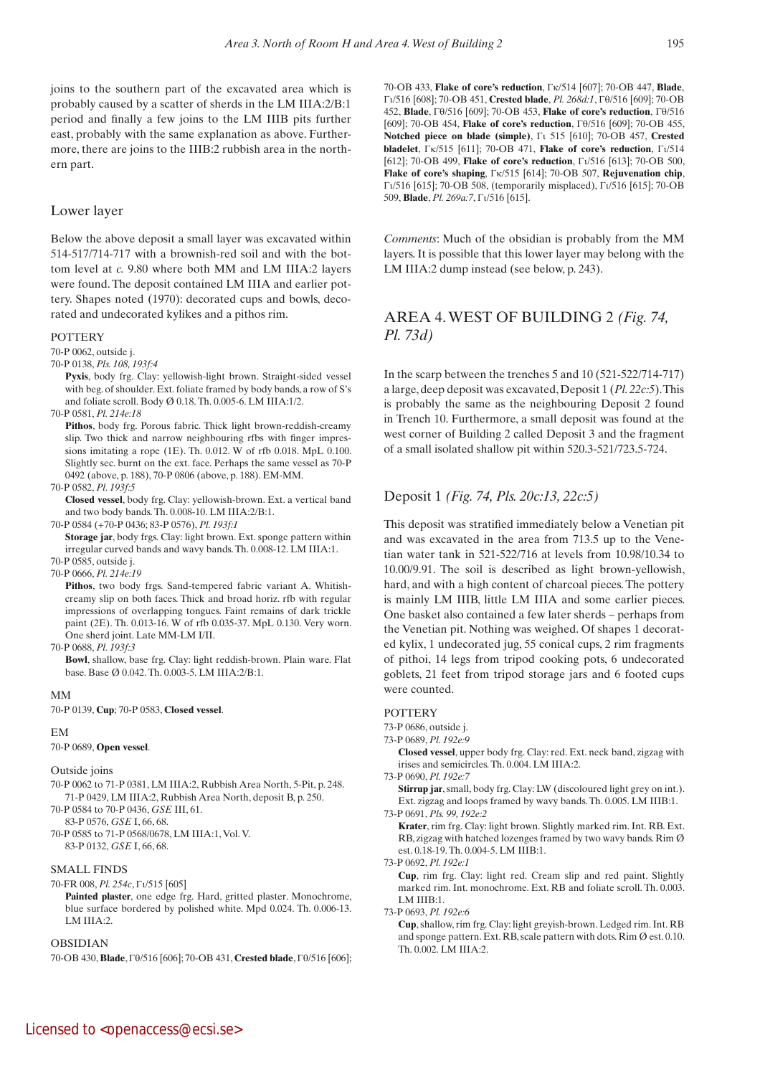joins to the southern part of the excavated area which is probably caused by a scatter of sherds in the LM IIIA:2/B:1 period and finally a few joins to the LM IIIB pits further east, probably with the same explanation as above. Furthermore, there are joins to the IIIB:2 rubbish area in the northern part.

# Lower layer

Below the above deposit a small layer was excavated within 514-517/714-717 with a brownish-red soil and with the bottom level at *c.* 9.80 where both MM and LM IIIA:2 layers were found. The deposit contained LM IIIA and earlier pottery. Shapes noted (1970): decorated cups and bowls, decorated and undecorated kylikes and a pithos rim.

#### **POTTERY**

#### 70-P 0062, outside j.

70-P 0138, *Pls. 108, 193f:4*

Pyxis, body frg. Clay: yellowish-light brown. Straight-sided vessel with beg. of shoulder. Ext. foliate framed by body bands, a row of S's and foliate scroll. Body Ø 0.18. Th. 0.005-6. LM IIIA:1/2.

70-P 0581, *Pl. 214e:18*

 **Pithos**, body frg. Porous fabric. Thick light brown-reddish-creamy slip. Two thick and narrow neighbouring rfbs with finger impressions imitating a rope (1E). Th. 0.012. W of rfb 0.018. MpL 0.100. Slightly sec. burnt on the ext. face. Perhaps the same vessel as 70-P 0492 (above, p. 188), 70-P 0806 (above, p. 188). EM-MM.

70-P 0582, *Pl. 193f:5*

 **Closed vessel**, body frg. Clay: yellowish-brown. Ext. a vertical band and two body bands. Th. 0.008-10. LM IIIA:2/B:1.

70-P 0584 (+70-P 0436; 83-P 0576), *Pl. 193f:1*

 **Storage jar**, body frgs. Clay: light brown. Ext. sponge pattern within irregular curved bands and wavy bands. Th. 0.008-12. LM IIIA:1.

70-P 0585, outside j. 70-P 0666, *Pl. 214e:19*

> **Pithos**, two body frgs. Sand-tempered fabric variant A. Whitishcreamy slip on both faces. Thick and broad horiz. rfb with regular impressions of overlapping tongues. Faint remains of dark trickle paint (2E). Th. 0.013-16. W of rfb 0.035-37. MpL 0.130. Very worn. One sherd joint. Late MM-LM I/II.

70-P 0688, *Pl. 193f:3*

 **Bowl**, shallow, base frg. Clay: light reddish-brown. Plain ware. Flat base. Base Ø 0.042. Th. 0.003-5. LM IIIA:2/B:1.

#### MM

70-P 0139, **Cup**; 70-P 0583, **Closed vessel**.

EM

70-P 0689, **Open vessel**.

### Outside joins

70-P 0062 to 71-P 0381, LM IIIA:2, Rubbish Area North, 5-Pit, p. 248. 71-P 0429, LM IIIA:2, Rubbish Area North, deposit B, p. 250.

70-P 0584 to 70-P 0436, *GSE* III, 61. 83-P 0576, *GSE* I, 66, 68.

70-P 0585 to 71-P 0568/0678, LM IIIA:1, Vol. V. 83-P 0132, *GSE* I, 66, 68.

#### SMALL FINDS

70-FR 008, *Pl. 254c*,  $\Gamma$ <sub>1</sub>/515 [605]

Painted plaster, one edge frg. Hard, gritted plaster. Monochrome, blue surface bordered by polished white. Mpd 0.024. Th. 0.006-13. LM IIIA:2.

## OBSIDIAN

70-OB 430, **Blade**,  $\Gamma\theta$ /516 [606]; 70-OB 431, Crested blade,  $\Gamma\theta$ /516 [606];

70-OB 433, **Flake of core's reduction**, Gk/514 [607]; 70-OB 447, **Blade**, Gi/516 [608]; 70-OB 451, **Crested blade**, *Pl. 268d:1*, Gq/516 [609]; 70-OB 452, **Blade**, Gq/516 [609]; 70-OB 453, **Flake of core's reduction**, Gq/516 [609]; 70-OB 454, **Flake of core's reduction**,  $\Gamma \theta$ /516 [609]; 70-OB 455,

**Notched** piece on blade (simple),  $\Gamma$ <sub>1</sub> 515 [610]; 70-OB 457, Crested **bladelet**,  $\Gamma$ K/515 [611]; 70-OB 471, **Flake** of core's reduction,  $\Gamma$ 1/514 [612]; 70-OB 499, **Flake of core's reduction**, Gi/516 [613]; 70-OB 500, Flake of core's shaping,  $\Gamma$ <sub>K</sub>/515 [614]; 70-OB 507, Rejuvenation chip,  $\Gamma$  $1/516$  [615]; 70-OB 508, (temporarily misplaced),  $\Gamma$  $1/516$  [615]; 70-OB 509, **Blade**, *Pl. 269a:7*,  $\Gamma$ *i*/516 [615].

*Comments*: Much of the obsidian is probably from the MM layers. It is possible that this lower layer may belong with the LM IIIA:2 dump instead (see below, p. 243).

# AREA 4. WEST OF BUILDING 2 *(Fig. 74, Pl. 73d)*

In the scarp between the trenches 5 and 10 (521-522/714-717) a large, deep deposit was excavated, Deposit 1 (*Pl. 22c:5*). This is probably the same as the neighbouring Deposit 2 found in Trench 10. Furthermore, a small deposit was found at the west corner of Building 2 called Deposit 3 and the fragment of a small isolated shallow pit within 520.3-521/723.5-724.

# Deposit 1 *(Fig. 74, Pls. 20c:13, 22c:5)*

This deposit was stratified immediately below a Venetian pit and was excavated in the area from 713.5 up to the Venetian water tank in 521-522/716 at levels from 10.98/10.34 to 10.00/9.91. The soil is described as light brown-yellowish, hard, and with a high content of charcoal pieces. The pottery is mainly LM IIIB, little LM IIIA and some earlier pieces. One basket also contained a few later sherds – perhaps from the Venetian pit. Nothing was weighed. Of shapes 1 decorated kylix, 1 undecorated jug, 55 conical cups, 2 rim fragments of pithoi, 14 legs from tripod cooking pots, 6 undecorated goblets, 21 feet from tripod storage jars and 6 footed cups were counted.

### **POTTERY**

- 73-P 0686, outside j.
- 73-P 0689, *Pl. 192e:9*

 **Closed vessel**, upper body frg. Clay: red. Ext. neck band, zigzag with irises and semicircles. Th. 0.004. LM IIIA:2.

73-P 0690, *Pl. 192e:7*

**Stirrup jar**, small, body frg. Clay: LW (discoloured light grey on int.). Ext. zigzag and loops framed by wavy bands. Th. 0.005. LM IIIB:1.

73-P 0691, *Pls. 99, 192e:2*

 **Krater**, rim frg. Clay: light brown. Slightly marked rim. Int. RB. Ext. RB, zigzag with hatched lozenges framed by two wavy bands. Rim Ø est. 0.18-19. Th. 0.004-5. LM IIIB:1.

73-P 0692, *Pl. 192e:1*

 **Cup**, rim frg. Clay: light red. Cream slip and red paint. Slightly marked rim. Int. monochrome. Ext. RB and foliate scroll. Th. 0.003. LM IIIB:1.

73-P 0693, *Pl. 192e:6*

 **Cup**, shallow, rim frg. Clay: light greyish-brown. Ledged rim. Int. RB and sponge pattern. Ext. RB, scale pattern with dots. Rim  $\emptyset$  est. 0.10. Th. 0.002. LM IIIA:2.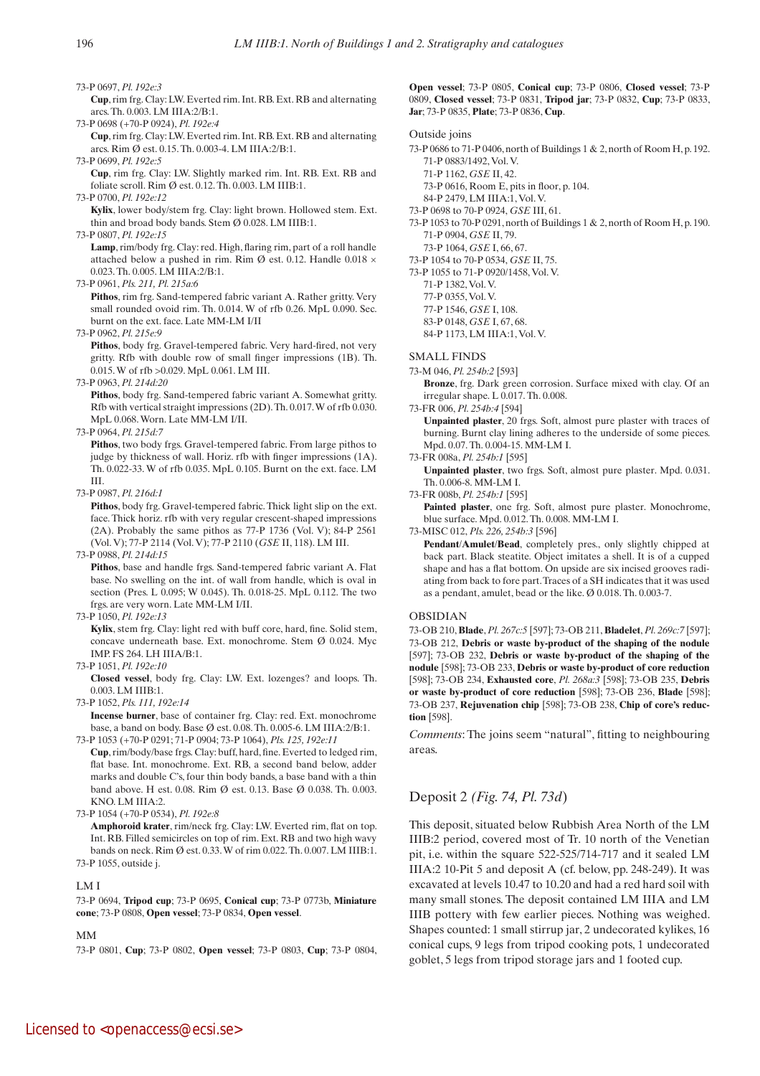73-P 0697, *Pl. 192e:3*

 **Cup**, rim frg. Clay: LW. Everted rim. Int. RB. Ext. RB and alternating arcs. Th. 0.003. LM IIIA:2/B:1.

73-P 0698 (+70-P 0924), *Pl. 192e:4*

 **Cup**, rim frg. Clay: LW. Everted rim. Int. RB. Ext. RB and alternating arcs. Rim Ø est. 0.15. Th. 0.003-4. LM IIIA:2/B:1.

73-P 0699, *Pl. 192e:5*

 **Cup**, rim frg. Clay: LW. Slightly marked rim. Int. RB. Ext. RB and foliate scroll. Rim Ø est. 0.12. Th. 0.003. LM IIIB:1.

73-P 0700, *Pl. 192e:12*

 **Kylix**, lower body/stem frg. Clay: light brown. Hollowed stem. Ext. thin and broad body bands. Stem Ø 0.028. LM IIIB:1.

73-P 0807, *Pl. 192e:15*

Lamp, rim/body frg. Clay: red. High, flaring rim, part of a roll handle attached below a pushed in rim. Rim Ø est. 0.12. Handle 0.018  $\times$ 0.023. Th. 0.005. LM IIIA:2/B:1.

73-P 0961, *Pls. 211, Pl. 215a:6*

Pithos, rim frg. Sand-tempered fabric variant A. Rather gritty. Very small rounded ovoid rim. Th. 0.014. W of rfb 0.26. MpL 0.090. Sec. burnt on the ext. face. Late MM-LM I/II

73-P 0962, *Pl. 215e:9*

Pithos, body frg. Gravel-tempered fabric. Very hard-fired, not very gritty. Rfb with double row of small finger impressions (1B). Th. 0.015. W of rfb >0.029. MpL 0.061. LM III.

73-P 0963, *Pl. 214d:20*

Pithos, body frg. Sand-tempered fabric variant A. Somewhat gritty. Rfb with vertical straight impressions (2D). Th. 0.017. W of rfb 0.030. MpL 0.068. Worn. Late MM-LM I/II.

73-P 0964, *Pl. 215d:7*

 **Pithos**, two body frgs. Gravel-tempered fabric. From large pithos to judge by thickness of wall. Horiz. rfb with finger impressions (1A). Th. 0.022-33. W of rfb 0.035. MpL 0.105. Burnt on the ext. face. LM III.

73-P 0987, *Pl. 216d:1*

 **Pithos**, body frg. Gravel-tempered fabric. Thick light slip on the ext. face. Thick horiz. rfb with very regular crescent-shaped impressions (2A). Probably the same pithos as 77-P 1736 (Vol. V); 84-P 2561 (Vol. V); 77-P 2114 (Vol. V); 77-P 2110 (*GSE* II, 118). LM III.

73-P 0988, *Pl. 214d:15*

 **Pithos**, base and handle frgs. Sand-tempered fabric variant A. Flat base. No swelling on the int. of wall from handle, which is oval in section (Pres. L 0.095; W 0.045). Th. 0.018-25. MpL 0.112. The two frgs. are very worn. Late MM-LM I/II.

73-P 1050, *Pl. 192e:13*

 **Kylix**, stem frg. Clay: light red with buff core, hard, fine. Solid stem, concave underneath base. Ext. monochrome. Stem Ø 0.024. Myc IMP. FS 264. LH IIIA/B:1.

73-P 1051, *Pl. 192e:10*

 **Closed vessel**, body frg. Clay: LW. Ext. lozenges? and loops. Th. 0.003. LM IIIB:1.

73-P 1052, *Pls. 111, 192e:14*

 **Incense burner**, base of container frg. Clay: red. Ext. monochrome base, a band on body. Base Ø est. 0.08. Th. 0.005-6. LM IIIA:2/B:1.

73-P 1053 (+70-P 0291; 71-P 0904; 73-P 1064), *Pls. 125, 192e:11*  **Cup**, rim/body/base frgs. Clay: buff, hard, fine. Everted to ledged rim, flat base. Int. monochrome. Ext. RB, a second band below, adder marks and double C's, four thin body bands, a base band with a thin band above. H est. 0.08. Rim Ø est. 0.13. Base Ø 0.038. Th. 0.003. KNO. LM IIIA:2.

73-P 1054 (+70-P 0534), *Pl. 192e:8*

 **Amphoroid krater**, rim/neck frg. Clay: LW. Everted rim, flat on top. Int. RB. Filled semicircles on top of rim. Ext. RB and two high wavy bands on neck. Rim Ø est. 0.33. W of rim 0.022. Th. 0.007. LM IIIB:1. 73-P 1055, outside j.

# LM I

73-P 0694, **Tripod cup**; 73-P 0695, **Conical cup**; 73-P 0773b, **Miniature cone**; 73-P 0808, **Open vessel**; 73-P 0834, **Open vessel**.

# MM

73-P 0801, **Cup**; 73-P 0802, **Open vessel**; 73-P 0803, **Cup**; 73-P 0804,

**Open vessel**; 73-P 0805, **Conical cup**; 73-P 0806, **Closed vessel**; 73-P 0809, **Closed vessel**; 73-P 0831, **Tripod jar**; 73-P 0832, **Cup**; 73-P 0833, **Jar**; 73-P 0835, **Plate**; 73-P 0836, **Cup**.

### Outside joins

73-P 0686 to 71-P 0406, north of Buildings 1 & 2, north of Room H, p. 192. 71-P 0883/1492, Vol. V.

71-P 1162, *GSE* II, 42.

73-P 0616, Room E, pits in floor, p. 104.

84-P 2479, LM IIIA:1, Vol. V.

73-P 0698 to 70-P 0924, *GSE* III, 61.

73-P 1053 to 70-P 0291, north of Buildings 1 & 2, north of Room H, p. 190. 71-P 0904, *GSE* II, 79.

73-P 1064, *GSE* I, 66, 67.

73-P 1054 to 70-P 0534, *GSE* II, 75.

73-P 1055 to 71-P 0920/1458, Vol. V. 71-P 1382, Vol. V. 77-P 0355, Vol. V. 77-P 1546, *GSE* I, 108. 83-P 0148, *GSE* I, 67, 68.

84-P 1173, LM IIIA:1, Vol. V.

SMALL FINDS

### 73-M 046, *Pl. 254b:2* [593]

 **Bronze**, frg. Dark green corrosion. Surface mixed with clay. Of an irregular shape. L 0.017. Th. 0.008.

73-FR 006, *Pl. 254b:4* [594]  **Unpainted plaster**, 20 frgs. Soft, almost pure plaster with traces of burning. Burnt clay lining adheres to the underside of some pieces. Mpd. 0.07. Th. 0.004-15. MM-LM I.

73-FR 008a, *Pl. 254b:1* [595]  **Unpainted plaster**, two frgs. Soft, almost pure plaster. Mpd. 0.031.

Th. 0.006-8. MM-LM I. 73-FR 008b, *Pl. 254b:1* [595]

 **Painted plaster**, one frg. Soft, almost pure plaster. Monochrome, blue surface. Mpd. 0.012. Th. 0.008. MM-LM I.

73-MISC 012, *Pls. 226, 254b:3* [596]

 **Pendant**/**Amulet**/**Bead**, completely pres., only slightly chipped at back part. Black steatite. Object imitates a shell. It is of a cupped shape and has a flat bottom. On upside are six incised grooves radiating from back to fore part. Traces of a SH indicates that it was used as a pendant, amulet, bead or the like. Ø 0.018. Th. 0.003-7.

# OBSIDIAN

73-OB 210, **Blade**, *Pl. 267c:5* [597]; 73-OB 211, **Bladelet**, *Pl. 269c:7* [597]; 73-OB 212, **Debris or waste by-product of the shaping of the nodule** [597]; 73-OB 232, **Debris or waste by-product of the shaping of the nodule** [598]; 73-OB 233, **Debris or waste by-product of core reduction** [598]; 73-OB 234, **Exhausted core**, *Pl. 268a:3* [598]; 73-OB 235, **Debris or waste by-product of core reduction** [598]; 73-OB 236, **Blade** [598]; 73-OB 237, **Rejuvenation chip** [598]; 73-OB 238, **Chip of core's reduction** [598].

*Comments*: The joins seem "natural", fitting to neighbouring areas.

# Deposit 2 *(Fig. 74, Pl. 73d*)

This deposit, situated below Rubbish Area North of the LM IIIB:2 period, covered most of Tr. 10 north of the Venetian pit, i.e. within the square 522-525/714-717 and it sealed LM IIIA:2 10-Pit 5 and deposit A (cf. below, pp. 248-249). It was excavated at levels 10.47 to 10.20 and had a red hard soil with many small stones. The deposit contained LM IIIA and LM IIIB pottery with few earlier pieces. Nothing was weighed. Shapes counted: 1 small stirrup jar, 2 undecorated kylikes, 16 conical cups, 9 legs from tripod cooking pots, 1 undecorated goblet, 5 legs from tripod storage jars and 1 footed cup.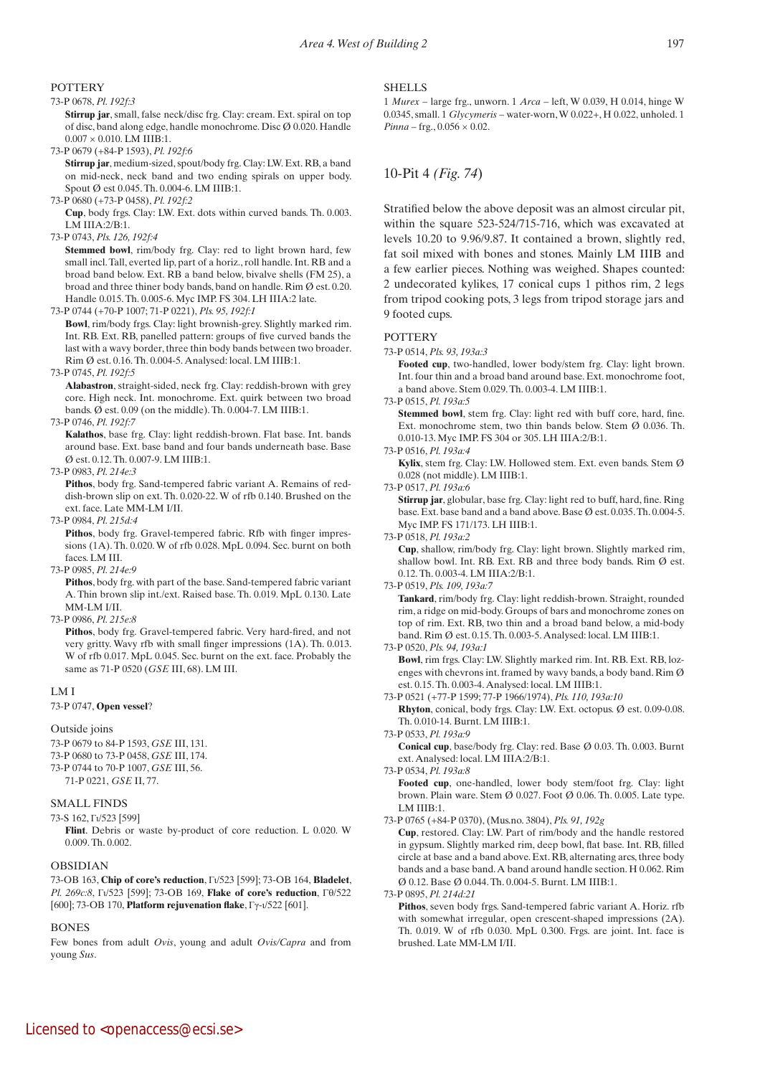73-P 0678, *Pl. 192f:3*

**Stirrup jar**, small, false neck/disc frg. Clay: cream. Ext. spiral on top of disc, band along edge, handle monochrome. Disc Ø 0.020. Handle  $0.007 \times 0.010$ . LM IIIB:1.

73-P 0679 (+84-P 1593), *Pl. 192f:6*

 **Stirrup jar**, medium-sized, spout/body frg. Clay: LW. Ext. RB, a band on mid-neck, neck band and two ending spirals on upper body. Spout Ø est 0.045. Th. 0.004-6. LM IIIB:1.

73-P 0680 (+73-P 0458), *Pl. 192f:2*

 **Cup**, body frgs. Clay: LW. Ext. dots within curved bands. Th. 0.003. LM IIIA:2/B:1.

73-P 0743, *Pls. 126, 192f:4* 

**Stemmed bowl**, rim/body frg. Clay: red to light brown hard, few small incl. Tall, everted lip, part of a horiz., roll handle. Int. RB and a broad band below. Ext. RB a band below, bivalve shells (FM 25), a broad and three thiner body bands, band on handle. Rim Ø est. 0.20. Handle 0.015. Th. 0.005-6. Myc IMP. FS 304. LH IIIA:2 late.

73-P 0744 (+70-P 1007; 71-P 0221), *Pls. 95, 192f:1*

 **Bowl**, rim/body frgs. Clay: light brownish-grey. Slightly marked rim. Int. RB. Ext. RB, panelled pattern: groups of five curved bands the last with a wavy border, three thin body bands between two broader. Rim Ø est. 0.16. Th. 0.004-5. Analysed: local. LM IIIB:1.

73-P 0745, *Pl. 192f:5*

 **Alabastron**, straight-sided, neck frg. Clay: reddish-brown with grey core. High neck. Int. monochrome. Ext. quirk between two broad bands.  $\emptyset$  est. 0.09 (on the middle). Th. 0.004-7. LM IIIB:1.

#### 73-P 0746, *Pl. 192f:7*

 **Kalathos**, base frg. Clay: light reddish-brown. Flat base. Int. bands around base. Ext. base band and four bands underneath base. Base Ø est. 0.12. Th. 0.007-9. LM IIIB:1.

73-P 0983, *Pl. 214e:3*

Pithos, body frg. Sand-tempered fabric variant A. Remains of reddish-brown slip on ext. Th. 0.020-22. W of rfb 0.140. Brushed on the ext. face. Late MM-LM I/II.

73-P 0984, *Pl. 215d:4*

Pithos, body frg. Gravel-tempered fabric. Rfb with finger impressions (1A). Th. 0.020. W of rfb 0.028. MpL 0.094. Sec. burnt on both faces. LM III.

73-P 0985, *Pl. 214e:9*

 **Pithos**, body frg. with part of the base. Sand-tempered fabric variant A. Thin brown slip int./ext. Raised base. Th. 0.019. MpL 0.130. Late MM-LM I/II.

73-P 0986, *Pl. 215e:8*

Pithos, body frg. Gravel-tempered fabric. Very hard-fired, and not very gritty. Wavy rfb with small finger impressions (1A). Th. 0.013. W of rfb 0.017. MpL 0.045. Sec. burnt on the ext. face. Probably the same as 71-P 0520 (*GSE* III, 68). LM III.

### LM I

# 73-P 0747, **Open vessel**?

Outside joins

73-P 0679 to 84-P 1593, *GSE* III, 131. 73-P 0680 to 73-P 0458, *GSE* III, 174. 73-P 0744 to 70-P 1007, *GSE* III, 56. 71-P 0221, *GSE* II, 77.

#### SMALL FINDS

73-S 162, Γι/523 [599]

**Flint**. Debris or waste by-product of core reduction. L 0.020. W 0.009. Th. 0.002.

# OBSIDIAN

73-OB 163, **Chip of core's reduction**, Γι/523 [599]; 73-OB 164, **Bladelet**, *Pl. 269c:8*, Γι/523 [599]; 73-OB 169, **Flake of core's reduction**, Gq/522 [600]; 73-OB 170, **Platform rejuvenation flake**, Γγ-ι/522 [601].

### **BONES**

Few bones from adult *Ovis*, young and adult *Ovis/Capra* and from young *Sus*.

#### **SHELLS**

1 *Murex* – large frg., unworn. 1 *Arca* – left, W 0.039, H 0.014, hinge W 0.0345, small. 1 *Glycymeris* – water-worn, W 0.022+, H 0.022, unholed. 1 *Pinna* – frg., 0.056 × 0.02.

# 10-Pit 4 *(Fig. 74*)

Stratified below the above deposit was an almost circular pit, within the square 523-524/715-716, which was excavated at levels 10.20 to 9.96/9.87. It contained a brown, slightly red, fat soil mixed with bones and stones. Mainly LM IIIB and a few earlier pieces. Nothing was weighed. Shapes counted: 2 undecorated kylikes, 17 conical cups 1 pithos rim, 2 legs from tripod cooking pots, 3 legs from tripod storage jars and 9 footed cups.

#### **POTTERY**

73-P 0514, *Pls. 93, 193a:3*

 **Footed cup**, two-handled, lower body/stem frg. Clay: light brown. Int. four thin and a broad band around base. Ext. monochrome foot, a band above. Stem 0.029. Th. 0.003-4. LM IIIB:1.

73-P 0515, *Pl. 193a:5*

**Stemmed bowl**, stem frg. Clay: light red with buff core, hard, fine. Ext. monochrome stem, two thin bands below. Stem Ø 0.036. Th. 0.010-13. Myc IMP. FS 304 or 305. LH IIIA:2/B:1.

73-P 0516, *Pl. 193a:4*

**Kylix**, stem frg. Clay: LW. Hollowed stem. Ext. even bands. Stem  $\emptyset$ 0.028 (not middle). LM IIIB:1.

73-P 0517, *Pl. 193a:6*

 **Stirrup jar**, globular, base frg. Clay: light red to buff, hard, fine. Ring base. Ext. base band and a band above. Base Ø est. 0.035. Th. 0.004-5. Myc IMP. FS 171/173. LH IIIB:1.

73-P 0518, *Pl. 193a:2*

 **Cup**, shallow, rim/body frg. Clay: light brown. Slightly marked rim, shallow bowl. Int. RB. Ext. RB and three body bands. Rim Ø est. 0.12. Th. 0.003-4. LM IIIA:2/B:1.

73-P 0519, *Pls. 109, 193a:7*

 **Tankard**, rim/body frg. Clay: light reddish-brown. Straight, rounded rim, a ridge on mid-body. Groups of bars and monochrome zones on top of rim. Ext. RB, two thin and a broad band below, a mid-body band. Rim Ø est. 0.15. Th. 0.003-5. Analysed: local. LM IIIB:1.

73-P 0520, *Pls. 94, 193a:1*

 **Bowl**, rim frgs. Clay: LW. Slightly marked rim. Int. RB. Ext. RB, lozenges with chevrons int. framed by wavy bands, a body band. Rim Ø est. 0.15. Th. 0.003-4. Analysed: local. LM IIIB:1.

73-P 0521 (+77-P 1599; 77-P 1966/1974), *Pls. 110, 193a:10*

 **Rhyton**, conical, body frgs. Clay: LW. Ext. octopus. Ø est. 0.09-0.08. Th. 0.010-14. Burnt. LM IIIB:1.

73-P 0533, *Pl. 193a:9*

 **Conical cup**, base/body frg. Clay: red. Base Ø 0.03. Th. 0.003. Burnt ext. Analysed: local. LM IIIA:2/B:1.

73-P 0534, *Pl. 193a:8*

 **Footed cup**, one-handled, lower body stem/foot frg. Clay: light brown. Plain ware. Stem Ø 0.027. Foot Ø 0.06. Th. 0.005. Late type. LM IIIB:1.

73-P 0765 (+84-P 0370), (Mus.no. 3804), *Pls. 91, 192g*

 **Cup**, restored. Clay: LW. Part of rim/body and the handle restored in gypsum. Slightly marked rim, deep bowl, flat base. Int. RB, filled circle at base and a band above. Ext. RB, alternating arcs, three body bands and a base band. A band around handle section. H 0.062. Rim Ø 0.12. Base Ø 0.044. Th. 0.004-5. Burnt. LM IIIB:1.

73-P 0895, *Pl. 214d:21*

 **Pithos**, seven body frgs. Sand-tempered fabric variant A. Horiz. rfb with somewhat irregular, open crescent-shaped impressions  $(2A)$ . Th. 0.019. W of rfb 0.030. MpL 0.300. Frgs. are joint. Int. face is brushed. Late MM-LM I/II.